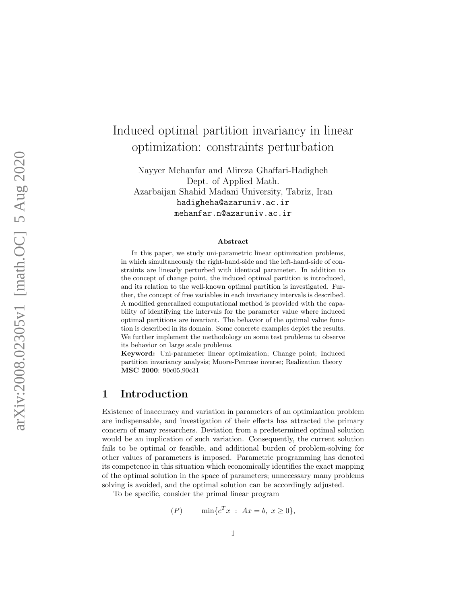# Induced optimal partition invariancy in linear optimization: constraints perturbation

Nayyer Mehanfar and Alireza Ghaffari-Hadigheh Dept. of Applied Math. Azarbaijan Shahid Madani University, Tabriz, Iran hadigheha@azaruniv.ac.ir mehanfar.n@azaruniv.ac.ir

#### Abstract

In this paper, we study uni-parametric linear optimization problems, in which simultaneously the right-hand-side and the left-hand-side of constraints are linearly perturbed with identical parameter. In addition to the concept of change point, the induced optimal partition is introduced, and its relation to the well-known optimal partition is investigated. Further, the concept of free variables in each invariancy intervals is described. A modified generalized computational method is provided with the capability of identifying the intervals for the parameter value where induced optimal partitions are invariant. The behavior of the optimal value function is described in its domain. Some concrete examples depict the results. We further implement the methodology on some test problems to observe its behavior on large scale problems.

Keyword: Uni-parameter linear optimization; Change point; Induced partition invariancy analysis; Moore-Penrose inverse; Realization theory MSC 2000: 90c05,90c31

# <span id="page-0-0"></span>1 Introduction

Existence of inaccuracy and variation in parameters of an optimization problem are indispensable, and investigation of their effects has attracted the primary concern of many researchers. Deviation from a predetermined optimal solution would be an implication of such variation. Consequently, the current solution fails to be optimal or feasible, and additional burden of problem-solving for other values of parameters is imposed. Parametric programming has denoted its competence in this situation which economically identifies the exact mapping of the optimal solution in the space of parameters; unnecessary many problems solving is avoided, and the optimal solution can be accordingly adjusted.

To be specific, consider the primal linear program

$$
(P) \qquad \min\{c^T x \; : \; Ax = b, \; x \ge 0\},
$$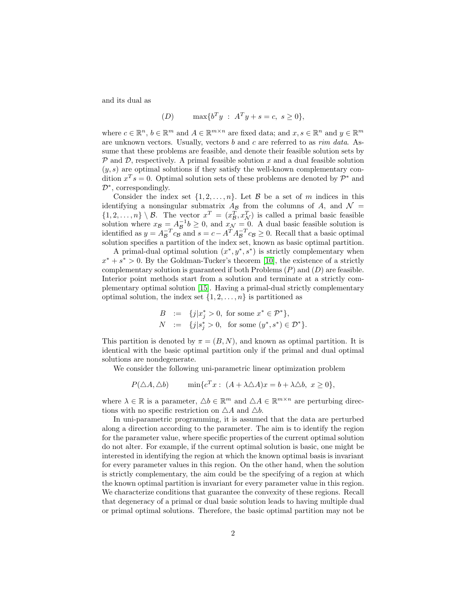and its dual as

$$
(D) \qquad \max\{b^T y \; : \; A^T y + s = c, \; s \ge 0\},
$$

where  $c \in \mathbb{R}^n$ ,  $b \in \mathbb{R}^m$  and  $A \in \mathbb{R}^{m \times n}$  are fixed data; and  $x, s \in \mathbb{R}^n$  and  $y \in \mathbb{R}^m$ are unknown vectors. Usually, vectors b and c are referred to as rim data. Assume that these problems are feasible, and denote their feasible solution sets by  $P$  and  $D$ , respectively. A primal feasible solution x and a dual feasible solution  $(y, s)$  are optimal solutions if they satisfy the well-known complementary condition  $x^T s = 0$ . Optimal solution sets of these problems are denoted by  $\mathcal{P}^*$  and D<sup>∗</sup> , correspondingly.

Consider the index set  $\{1, 2, ..., n\}$ . Let  $\beta$  be a set of m indices in this identifying a nonsingular submatrix  $A_B$  from the columns of A, and  $\mathcal{N} =$  $\{1, 2, \ldots, n\} \setminus \mathcal{B}$ . The vector  $x^T = (x_{\mathcal{B}}^T, x_{\mathcal{N}}^T)$  is called a primal basic feasible solution where  $x_{\mathcal{B}} = A_{\mathcal{B}}^{-1} b \geq 0$ , and  $x_{\mathcal{N}} = 0$ . A dual basic feasible solution is identified as  $y = A_{\mathcal{B}}^{-T} c_{\mathcal{B}}$  and  $s = c - A^{T} A_{\mathcal{B}}^{-T} c_{\mathcal{B}} \ge 0$ . Recall that a basic optimal solution specifies a partition of the index set, known as basic optimal partition.

A primal-dual optimal solution  $(x^*, y^*, s^*)$  is strictly complementary when  $x^* + s^* > 0$ . By the Goldman-Tucker's theorem [\[10\]](#page-22-0), the existence of a strictly complementary solution is guaranteed if both Problems  $(P)$  and  $(D)$  are feasible. Interior point methods start from a solution and terminate at a strictly complementary optimal solution [\[15\]](#page-22-1). Having a primal-dual strictly complementary optimal solution, the index set  $\{1, 2, \ldots, n\}$  is partitioned as

$$
B := \{j|x_j^* > 0, \text{ for some } x^* \in \mathcal{P}^*\},
$$
  
\n
$$
N := \{j|s_j^* > 0, \text{ for some } (y^*, s^*) \in \mathcal{D}^*\}.
$$

This partition is denoted by  $\pi = (B, N)$ , and known as optimal partition. It is identical with the basic optimal partition only if the primal and dual optimal solutions are nondegenerate.

We consider the following uni-parametric linear optimization problem

$$
P(\triangle A, \triangle b) \qquad \min \{c^T x : (A + \lambda \triangle A)x = b + \lambda \triangle b, x \ge 0\},
$$

where  $\lambda \in \mathbb{R}$  is a parameter,  $\Delta b \in \mathbb{R}^m$  and  $\Delta A \in \mathbb{R}^{m \times n}$  are perturbing directions with no specific restriction on  $\triangle A$  and  $\triangle b$ .

In uni-parametric programming, it is assumed that the data are perturbed along a direction according to the parameter. The aim is to identify the region for the parameter value, where specific properties of the current optimal solution do not alter. For example, if the current optimal solution is basic, one might be interested in identifying the region at which the known optimal basis is invariant for every parameter values in this region. On the other hand, when the solution is strictly complementary, the aim could be the specifying of a region at which the known optimal partition is invariant for every parameter value in this region. We characterize conditions that guarantee the convexity of these regions. Recall that degeneracy of a primal or dual basic solution leads to having multiple dual or primal optimal solutions. Therefore, the basic optimal partition may not be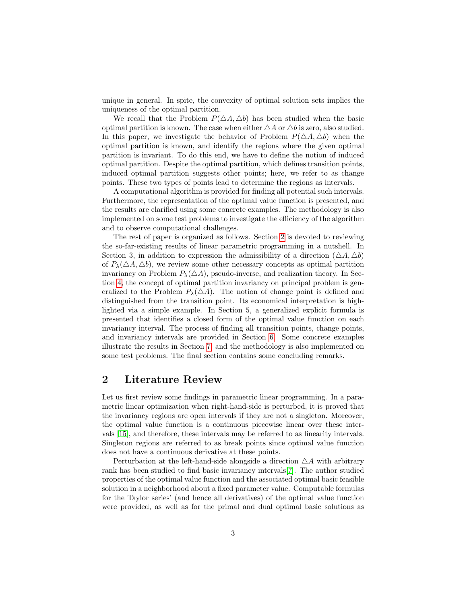unique in general. In spite, the convexity of optimal solution sets implies the uniqueness of the optimal partition.

We recall that the Problem  $P(\Delta A, \Delta b)$  has been studied when the basic optimal partition is known. The case when either  $\triangle A$  or  $\triangle b$  is zero, also studied. In this paper, we investigate the behavior of Problem  $P(\triangle A, \triangle b)$  when the optimal partition is known, and identify the regions where the given optimal partition is invariant. To do this end, we have to define the notion of induced optimal partition. Despite the optimal partition, which defines transition points, induced optimal partition suggests other points; here, we refer to as change points. These two types of points lead to determine the regions as intervals.

A computational algorithm is provided for finding all potential such intervals. Furthermore, the representation of the optimal value function is presented, and the results are clarified using some concrete examples. The methodology is also implemented on some test problems to investigate the efficiency of the algorithm and to observe computational challenges.

The rest of paper is organized as follows. Section [2](#page-2-0) is devoted to reviewing the so-far-existing results of linear parametric programming in a nutshell. In Section 3, in addition to expression the admissibility of a direction  $(\triangle A, \triangle b)$ of  $P_{\lambda}(\Delta A, \Delta b)$ , we review some other necessary concepts as optimal partition invariancy on Problem  $P_{\lambda}(\triangle A)$ , pseudo-inverse, and realization theory. In Section [4,](#page-7-0) the concept of optimal partition invariancy on principal problem is generalized to the Problem  $P_{\lambda}(\triangle A)$ . The notion of change point is defined and distinguished from the transition point. Its economical interpretation is highlighted via a simple example. In Section 5, a generalized explicit formula is presented that identifies a closed form of the optimal value function on each invariancy interval. The process of finding all transition points, change points, and invariancy intervals are provided in Section [6.](#page-14-0) Some concrete examples illustrate the results in Section [7,](#page-15-0) and the methodology is also implemented on some test problems. The final section contains some concluding remarks.

### <span id="page-2-0"></span>2 Literature Review

Let us first review some findings in parametric linear programming. In a parametric linear optimization when right-hand-side is perturbed, it is proved that the invariancy regions are open intervals if they are not a singleton. Moreover, the optimal value function is a continuous piecewise linear over these intervals [\[15\]](#page-22-1), and therefore, these intervals may be referred to as linearity intervals. Singleton regions are referred to as break points since optimal value function does not have a continuous derivative at these points.

Perturbation at the left-hand-side alongside a direction  $\triangle A$  with arbitrary rank has been studied to find basic invariancy intervals[\[7\]](#page-21-0). The author studied properties of the optimal value function and the associated optimal basic feasible solution in a neighborhood about a fixed parameter value. Computable formulas for the Taylor series' (and hence all derivatives) of the optimal value function were provided, as well as for the primal and dual optimal basic solutions as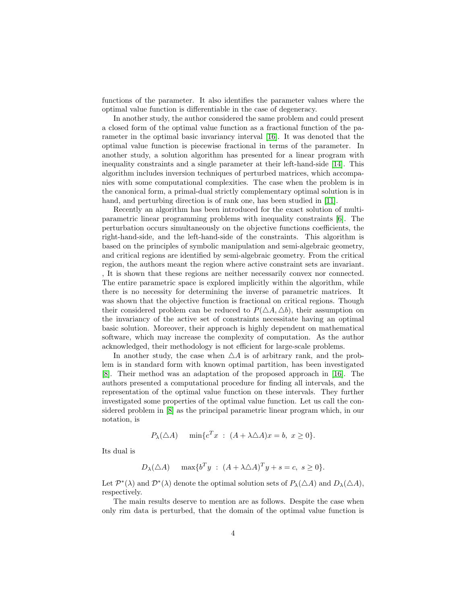functions of the parameter. It also identifies the parameter values where the optimal value function is differentiable in the case of degeneracy.

In another study, the author considered the same problem and could present a closed form of the optimal value function as a fractional function of the parameter in the optimal basic invariancy interval [\[16\]](#page-22-2). It was denoted that the optimal value function is piecewise fractional in terms of the parameter. In another study, a solution algorithm has presented for a linear program with inequality constraints and a single parameter at their left-hand-side [\[14\]](#page-22-3). This algorithm includes inversion techniques of perturbed matrices, which accompanies with some computational complexities. The case when the problem is in the canonical form, a primal-dual strictly complementary optimal solution is in hand, and perturbing direction is of rank one, has been studied in [\[11\]](#page-22-4).

Recently an algorithm has been introduced for the exact solution of multiparametric linear programming problems with inequality constraints [\[6\]](#page-21-1). The perturbation occurs simultaneously on the objective functions coefficients, the right-hand-side, and the left-hand-side of the constraints. This algorithm is based on the principles of symbolic manipulation and semi-algebraic geometry, and critical regions are identified by semi-algebraic geometry. From the critical region, the authors meant the region where active constraint sets are invariant. , It is shown that these regions are neither necessarily convex nor connected. The entire parametric space is explored implicitly within the algorithm, while there is no necessity for determining the inverse of parametric matrices. It was shown that the objective function is fractional on critical regions. Though their considered problem can be reduced to  $P(\triangle A, \triangle b)$ , their assumption on the invariancy of the active set of constraints necessitate having an optimal basic solution. Moreover, their approach is highly dependent on mathematical software, which may increase the complexity of computation. As the author acknowledged, their methodology is not efficient for large-scale problems.

In another study, the case when  $\triangle A$  is of arbitrary rank, and the problem is in standard form with known optimal partition, has been investigated [\[8\]](#page-21-2). Their method was an adaptation of the proposed approach in [\[16\]](#page-22-2). The authors presented a computational procedure for finding all intervals, and the representation of the optimal value function on these intervals. They further investigated some properties of the optimal value function. Let us call the considered problem in [\[8\]](#page-21-2) as the principal parametric linear program which, in our notation, is

$$
P_{\lambda}(\triangle A) \quad \min \{c^T x \; : \; (A + \lambda \triangle A)x = b, \; x \ge 0\}.
$$

Its dual is

$$
D_{\lambda}(\triangle A) \quad \max\{b^T y \; : \; (A + \lambda \triangle A)^T y + s = c, \; s \ge 0\}.
$$

Let  $\mathcal{P}^*(\lambda)$  and  $\mathcal{D}^*(\lambda)$  denote the optimal solution sets of  $P_\lambda(\triangle A)$  and  $D_\lambda(\triangle A)$ , respectively.

The main results deserve to mention are as follows. Despite the case when only rim data is perturbed, that the domain of the optimal value function is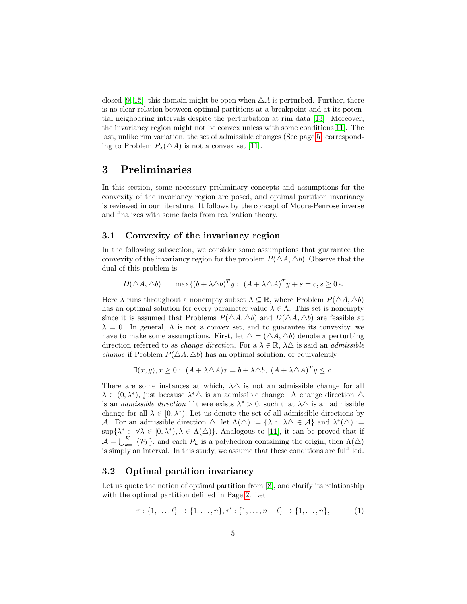closed [\[9,](#page-22-5) [15\]](#page-22-1), this domain might be open when  $\Delta A$  is perturbed. Further, there is no clear relation between optimal partitions at a breakpoint and at its potential neighboring intervals despite the perturbation at rim data [\[13\]](#page-22-6). Moreover, the invariancy region might not be convex unless with some conditions[\[11\]](#page-22-4). The last, unlike rim variation, the set of admissible changes (See page [5\)](#page-4-0) corresponding to Problem  $P_{\lambda}(\triangle A)$  is not a convex set [\[11\]](#page-22-4).

# 3 Preliminaries

In this section, some necessary preliminary concepts and assumptions for the convexity of the invariancy region are posed, and optimal partition invariancy is reviewed in our literature. It follows by the concept of Moore-Penrose inverse and finalizes with some facts from realization theory.

#### <span id="page-4-0"></span>3.1 Convexity of the invariancy region

In the following subsection, we consider some assumptions that guarantee the convexity of the invariancy region for the problem  $P(\Delta A, \Delta b)$ . Observe that the dual of this problem is

 $D(\triangle A, \triangle b)$  max $\{(b + \lambda \triangle b)^T y : (A + \lambda \triangle A)^T y + s = c, s \ge 0\}.$ 

Here  $\lambda$  runs throughout a nonempty subset  $\Lambda \subseteq \mathbb{R}$ , where Problem  $P(\triangle A, \triangle b)$ has an optimal solution for every parameter value  $\lambda \in \Lambda$ . This set is nonempty since it is assumed that Problems  $P(\triangle A, \triangle b)$  and  $D(\triangle A, \triangle b)$  are feasible at  $\lambda = 0$ . In general,  $\Lambda$  is not a convex set, and to guarantee its convexity, we have to make some assumptions. First, let  $\Delta = (\Delta A, \Delta b)$  denote a perturbing direction referred to as *change direction*. For a  $\lambda \in \mathbb{R}$ ,  $\lambda \triangle$  is said an *admissible change* if Problem  $P(\Delta A, \Delta b)$  has an optimal solution, or equivalently

<span id="page-4-1"></span>
$$
\exists (x, y), x \ge 0: (A + \lambda \triangle A)x = b + \lambda \triangle b, (A + \lambda \triangle A)^{T}y \le c.
$$

There are some instances at which,  $\lambda \triangle$  is not an admissible change for all  $\lambda \in (0, \lambda^*)$ , just because  $\lambda^* \Delta$  is an admissible change. A change direction  $\Delta$ is an *admissible direction* if there exists  $\lambda^* > 0$ , such that  $\lambda \Delta$  is an admissible change for all  $\lambda \in [0, \lambda^*)$ . Let us denote the set of all admissible directions by A. For an admissible direction  $\triangle$ , let  $\Lambda(\triangle) := {\lambda : \lambda \triangle \in \mathcal{A}}$  and  $\lambda^*(\triangle) :=$  $\sup\{\lambda^*: \forall \lambda \in [0,\lambda^*), \lambda \in \Lambda(\Delta)\}\.$  Analogous to [\[11\]](#page-22-4), it can be proved that if  $\mathcal{A} = \bigcup_{k=1}^K {\mathcal{P}_k}$ , and each  $\mathcal{P}_k$  is a polyhedron containing the origin, then  $\Lambda(\triangle)$ is simply an interval. In this study, we assume that these conditions are fulfilled.

#### 3.2 Optimal partition invariancy

Let us quote the notion of optimal partition from [\[8\]](#page-21-2), and clarify its relationship with the optimal partition defined in Page [2.](#page-0-0) Let

$$
\tau: \{1, \ldots, l\} \to \{1, \ldots, n\}, \tau': \{1, \ldots, n-l\} \to \{1, \ldots, n\},
$$
 (1)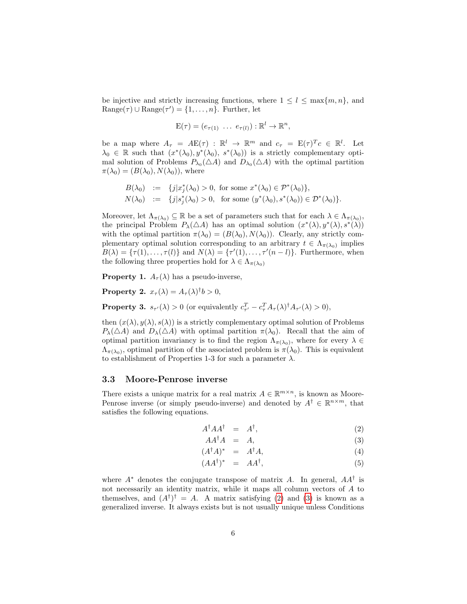be injective and strictly increasing functions, where  $1 \leq l \leq \max\{m, n\}$ , and  $Range(\tau) \cup Range(\tau') = \{1, \ldots, n\}.$  Further, let

<span id="page-5-0"></span>
$$
E(\tau) = (e_{\tau(1)} \ldots e_{\tau(l)}): \mathbb{R}^l \to \mathbb{R}^n,
$$

be a map where  $A_{\tau} = AE(\tau) : \mathbb{R}^{l} \to \mathbb{R}^{m}$  and  $c_{\tau} = E(\tau)^{T} c \in \mathbb{R}^{l}$ . Let  $\lambda_0 \in \mathbb{R}$  such that  $(x^*(\lambda_0), y^*(\lambda_0), s^*(\lambda_0))$  is a strictly complementary optimal solution of Problems  $P_{\lambda_0}(\triangle A)$  and  $D_{\lambda_0}(\triangle A)$  with the optimal partition  $\pi(\lambda_0) = (B(\lambda_0), N(\lambda_0))$ , where

$$
B(\lambda_0) := \{j|x_j^*(\lambda_0) > 0, \text{ for some } x^*(\lambda_0) \in \mathcal{P}^*(\lambda_0)\},
$$
  

$$
N(\lambda_0) := \{j|s_j^*(\lambda_0) > 0, \text{ for some } (y^*(\lambda_0), s^*(\lambda_0)) \in \mathcal{D}^*(\lambda_0)\}.
$$

Moreover, let  $\Lambda_{\pi(\lambda_0)} \subseteq \mathbb{R}$  be a set of parameters such that for each  $\lambda \in \Lambda_{\pi(\lambda_0)}$ , the principal Problem  $P_{\lambda}(\triangle A)$  has an optimal solution  $(x^*(\lambda), y^*(\lambda), s^*(\lambda))$ with the optimal partition  $\pi(\lambda_0) = (B(\lambda_0), N(\lambda_0))$ . Clearly, any strictly complementary optimal solution corresponding to an arbitrary  $t \in \Lambda_{\pi(\lambda_0)}$  implies  $B(\lambda) = {\tau(1), \ldots, \tau(l)}$  and  $N(\lambda) = {\tau'(1), \ldots, \tau'(n-l)}$ . Furthermore, when the following three properties hold for  $\lambda \in \Lambda_{\pi(\lambda_0)}$ 

**Property 1.**  $A_{\tau}(\lambda)$  has a pseudo-inverse,

**Property 2.**  $x_{\tau}(\lambda) = A_{\tau}(\lambda)^{\dagger} b > 0$ ,

**Property 3.**  $s_{\tau'}(\lambda) > 0$  (or equivalently  $c_{\tau'}^T - c_{\tau}^T A_{\tau}(\lambda)^{\dagger} A_{\tau'}(\lambda) > 0$ ),

then  $(x(\lambda), y(\lambda), s(\lambda))$  is a strictly complementary optimal solution of Problems  $P_{\lambda}(\Delta A)$  and  $D_{\lambda}(\Delta A)$  with optimal partition  $\pi(\lambda_0)$ . Recall that the aim of optimal partition invariancy is to find the region  $\Lambda_{\pi(\lambda_0)}$ , where for every  $\lambda \in$  $\Lambda_{\pi(\lambda_0)}$ , optimal partition of the associated problem is  $\pi(\lambda_0)$ . This is equivalent to establishment of Properties 1-3 for such a parameter  $\lambda$ .

#### 3.3 Moore-Penrose inverse

There exists a unique matrix for a real matrix  $A \in \mathbb{R}^{m \times n}$ , is known as Moore-Penrose inverse (or simply pseudo-inverse) and denoted by  $A^{\dagger} \in \mathbb{R}^{n \times m}$ , that satisfies the following equations.

$$
A^{\dagger} A A^{\dagger} = A^{\dagger}, \tag{2}
$$

$$
AA^{\dagger}A = A, \tag{3}
$$

$$
(A^{\dagger}A)^* = A^{\dagger}A, \tag{4}
$$

$$
(AA^{\dagger})^* = AA^{\dagger}, \tag{5}
$$

where  $A^*$  denotes the conjugate transpose of matrix A. In general,  $AA^{\dagger}$  is not necessarily an identity matrix, while it maps all column vectors of A to themselves, and  $(A^{\dagger})^{\dagger} = A$ . A matrix satisfying [\(2\)](#page-5-0) and [\(3\)](#page-5-0) is known as a generalized inverse. It always exists but is not usually unique unless Conditions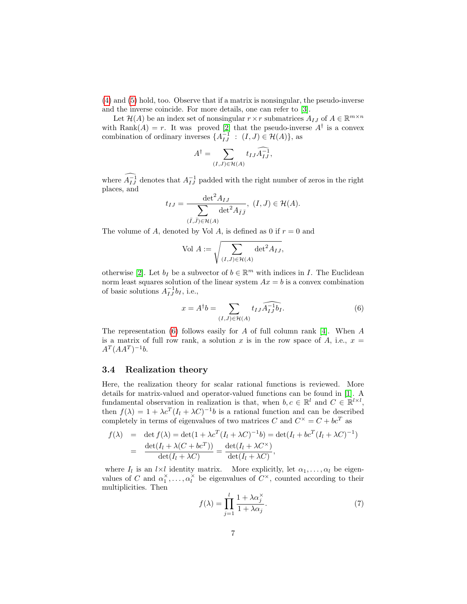[\(4\)](#page-5-0) and [\(5\)](#page-5-0) hold, too. Observe that if a matrix is nonsingular, the pseudo-inverse and the inverse coincide. For more details, one can refer to [\[3\]](#page-21-3).

Let  $\mathcal{H}(A)$  be an index set of nonsingular  $r \times r$  submatrices  $A_{IJ}$  of  $A \in \mathbb{R}^{m \times n}$ with Rank $(A) = r$ . It was proved [\[2\]](#page-21-4) that the pseudo-inverse  $A^{\dagger}$  is a convex combination of ordinary inverses  $\{A_{IJ}^{-1} : (I,J) \in \mathcal{H}(A)\}\$ , as

<span id="page-6-0"></span>
$$
A^{\dagger} = \sum_{(I,J)\in\mathcal{H}(A)} t_{IJ} \widehat{A_{IJ}^{-1}},
$$

where  $A_{IJ}^{-1}$  denotes that  $A_{IJ}^{-1}$  padded with the right number of zeros in the right places, and

$$
t_{IJ} = \frac{\det^2 A_{IJ}}{\sum_{(\bar{I},\bar{J}) \in \mathcal{H}(A)} \det^2 A_{\bar{I}\bar{J}}}, (I,J) \in \mathcal{H}(A).
$$

The volume of A, denoted by Vol A, is defined as 0 if  $r = 0$  and

$$
\text{Vol } A := \sqrt{\sum_{(I,J) \in \mathcal{H}(A)} \det^2 A_{IJ}},
$$

otherwise [\[2\]](#page-21-4). Let  $b_I$  be a subvector of  $b \in \mathbb{R}^m$  with indices in I. The Euclidean norm least squares solution of the linear system  $Ax = b$  is a convex combination of basic solutions  $A_{IJ}^{-1}b_I$ , i.e.,

$$
x = A^{\dagger}b = \sum_{(I,J) \in \mathcal{H}(A)} t_{IJ} \widehat{A_{IJ}^{-1}b_I}.
$$
 (6)

The representation  $(6)$  follows easily for A of full column rank [\[4\]](#page-21-5). When A is a matrix of full row rank, a solution x is in the row space of A, i.e.,  $x =$  $A^T(AA^T)^{-1}b.$ 

#### 3.4 Realization theory

Here, the realization theory for scalar rational functions is reviewed. More details for matrix-valued and operator-valued functions can be found in [\[1\]](#page-21-6). A fundamental observation in realization is that, when  $b, c \in \mathbb{R}^l$  and  $C \in \mathbb{R}^{l \times l}$ , then  $f(\lambda) = 1 + \lambda c^T (I_l + \lambda C)^{-1} b$  is a rational function and can be described completely in terms of eigenvalues of two matrices C and  $C^{\times} = C + bc^{T}$  as

$$
f(\lambda) = \det f(\lambda) = \det(1 + \lambda c^T (I_l + \lambda C)^{-1} b) = \det(I_l + bc^T (I_l + \lambda C)^{-1})
$$
  
= 
$$
\frac{\det(I_l + \lambda (C + bc^T))}{\det(I_l + \lambda C)} = \frac{\det(I_l + \lambda C^{\times})}{\det(I_l + \lambda C)},
$$

where  $I_l$  is an  $l \times l$  identity matrix. More explicitly, let  $\alpha_1, \ldots, \alpha_l$  be eigenvalues of C and  $\alpha_1^{\times}, \ldots, \alpha_l^{\times}$  be eigenvalues of  $C^{\times}$ , counted according to their multiplicities. Then

<span id="page-6-1"></span>
$$
f(\lambda) = \prod_{j=1}^{l} \frac{1 + \lambda \alpha_j^{\times}}{1 + \lambda \alpha_j}.
$$
 (7)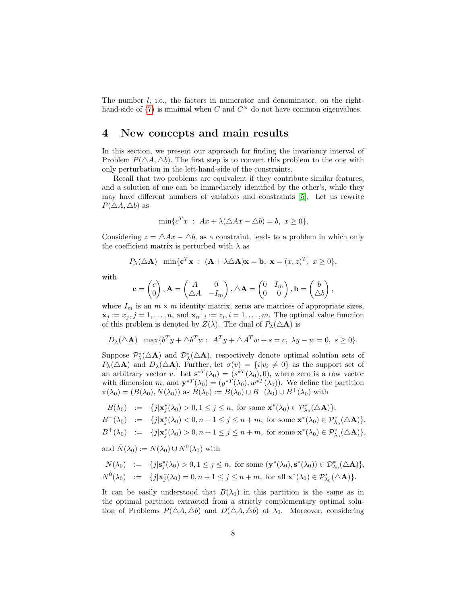The number *l*, i.e., the factors in numerator and denominator, on the righthand-side of  $(7)$  is minimal when C and  $C^{\times}$  do not have common eigenvalues.

### <span id="page-7-0"></span>4 New concepts and main results

In this section, we present our approach for finding the invariancy interval of Problem  $P(\triangle A, \triangle b)$ . The first step is to convert this problem to the one with only perturbation in the left-hand-side of the constraints.

Recall that two problems are equivalent if they contribute similar features, and a solution of one can be immediately identified by the other's, while they may have different numbers of variables and constraints [\[5\]](#page-21-7). Let us rewrite  $P(\triangle A, \triangle b)$  as

<span id="page-7-1"></span>
$$
\min\{c^T x \; : \; Ax + \lambda(\triangle Ax - \triangle b) = b, \; x \ge 0\}.
$$

Considering  $z = \Delta Ax - \Delta b$ , as a constraint, leads to a problem in which only the coefficient matrix is perturbed with  $\lambda$  as

$$
P_{\lambda}(\triangle \mathbf{A})
$$
 min{ $\mathbf{c}^T \mathbf{x}$  :  $(\mathbf{A} + \lambda \triangle \mathbf{A})\mathbf{x} = \mathbf{b}$ ,  $\mathbf{x} = (x, z)^T$ ,  $x \ge 0$ },

with

$$
\mathbf{c} = \begin{pmatrix} c \\ 0 \end{pmatrix}, \mathbf{A} = \begin{pmatrix} A & 0 \\ \triangle A & -I_m \end{pmatrix}, \triangle \mathbf{A} = \begin{pmatrix} 0 & I_m \\ 0 & 0 \end{pmatrix}, \mathbf{b} = \begin{pmatrix} b \\ \triangle b \end{pmatrix},
$$

where  $I_m$  is an  $m \times m$  identity matrix, zeros are matrices of appropriate sizes,  $\mathbf{x}_j := x_j, j = 1, \ldots, n$ , and  $\mathbf{x}_{n+i} := z_i, i = 1, \ldots, m$ . The optimal value function of this problem is denoted by  $Z(\lambda)$ . The dual of  $P_{\lambda}(\Delta \mathbf{A})$  is

$$
D_{\lambda}(\triangle \mathbf{A}) \ \ \max\{b^T y + \triangle b^T w : A^T y + \triangle A^T w + s = c, \ \lambda y - w = 0, \ s \ge 0\}.
$$

Suppose  $\mathcal{P}_{\lambda}^*(\Delta \mathbf{A})$  and  $\mathcal{D}_{\lambda}^*(\Delta \mathbf{A})$ , respectively denote optimal solution sets of  $P_{\lambda}(\Delta A)$  and  $D_{\lambda}(\Delta A)$ . Further, let  $\sigma(v) = \{i|v_i \neq 0\}$  as the support set of an arbitrary vector v. Let  $\mathbf{s}^{*T}(\lambda_0) = (s^{*T}(\lambda_0), 0)$ , where zero is a row vector with dimension m, and  $\mathbf{y}^{*T}(\lambda_0) = (y^{*T}(\lambda_0), w^{*T}(\lambda_0))$ . We define the partition  $\bar{\pi}(\lambda_0) = (B(\lambda_0), N(\lambda_0))$  as  $B(\lambda_0) := B(\lambda_0) \cup B^{-}(\lambda_0) \cup B^{+}(\lambda_0)$  with

$$
B(\lambda_0) \quad := \quad \{j|\mathbf{x}_j^*(\lambda_0) > 0, 1 \le j \le n, \text{ for some } \mathbf{x}^*(\lambda_0) \in \mathcal{P}_{\lambda_0}^*(\triangle \mathbf{A})\},
$$

$$
B^{-}(\lambda_0) \quad := \quad \{j|\mathbf{x}_j^*(\lambda_0) < 0, n+1 \leq j \leq n+m, \text{ for some } \mathbf{x}^*(\lambda_0) \in \mathcal{P}_{\lambda_0}^*(\triangle \mathbf{A})\},
$$

$$
B^+(\lambda_0) \quad := \quad \{j|\mathbf{x}_j^*(\lambda_0) > 0, n+1 \leq j \leq n+m, \text{ for some } \mathbf{x}^*(\lambda_0) \in \mathcal{P}_{\lambda_0}^*(\triangle \mathbf{A})\},
$$

and  $\bar{N}(\lambda_0) := N(\lambda_0) \cup N^0(\lambda_0)$  with

$$
N(\lambda_0) := \{j|\mathbf{s}_j^*(\lambda_0) > 0, 1 \le j \le n, \text{ for some } (\mathbf{y}^*(\lambda_0), \mathbf{s}^*(\lambda_0)) \in \mathcal{D}_{\lambda_0}^*(\Delta \mathbf{A})\},
$$
  

$$
N^0(\lambda_0) := \{j|\mathbf{x}_j^*(\lambda_0) = 0, n+1 \le j \le n+m, \text{ for all } \mathbf{x}^*(\lambda_0) \in \mathcal{P}_{\lambda_0}^*(\Delta \mathbf{A})\}.
$$

It can be easily understood that  $B(\lambda_0)$  in this partition is the same as in the optimal partition extracted from a strictly complementary optimal solution of Problems  $P(\triangle A, \triangle b)$  and  $D(\triangle A, \triangle b)$  at  $\lambda_0$ . Moreover, considering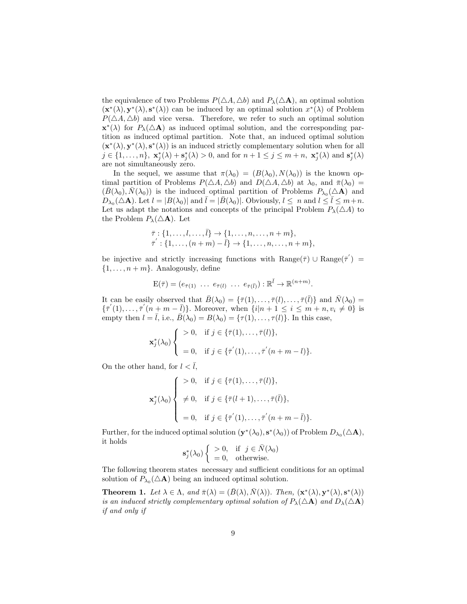the equivalence of two Problems  $P(\Delta A, \Delta b)$  and  $P_{\lambda}(\Delta A)$ , an optimal solution  $(\mathbf{x}^*(\lambda), \mathbf{y}^*(\lambda), \mathbf{s}^*(\lambda))$  can be induced by an optimal solution  $x^*(\lambda)$  of Problem  $P(\triangle A, \triangle b)$  and vice versa. Therefore, we refer to such an optimal solution  $\mathbf{x}^*(\lambda)$  for  $P_{\lambda}(\Delta \mathbf{A})$  as induced optimal solution, and the corresponding partition as induced optimal partition. Note that, an induced optimal solution  $(\mathbf{x}^*(\lambda), \mathbf{y}^*(\lambda), \mathbf{s}^*(\lambda))$  is an induced strictly complementary solution when for all  $j \in \{1, \ldots, n\}, \; \mathbf{x}_j^*(\lambda) + \mathbf{s}_j^*(\lambda) > 0, \text{ and for } n+1 \leq j \leq m+n, \; \mathbf{x}_j^*(\lambda) \text{ and } \mathbf{s}_j^*(\lambda)$ are not simultaneously zero.

In the sequel, we assume that  $\pi(\lambda_0) = (B(\lambda_0), N(\lambda_0))$  is the known optimal partition of Problems  $P(\triangle A, \triangle b)$  and  $D(\triangle A, \triangle b)$  at  $\lambda_0$ , and  $\bar{\pi}(\lambda_0)$  =  $(\bar{B}(\lambda_0), \bar{N}(\lambda_0))$  is the induced optimal partition of Problems  $P_{\lambda_0}(\Delta {\bf A})$  and  $D_{\lambda_0}(\Delta \mathbf{A})$ . Let  $l = |B(\lambda_0)|$  and  $\bar{l} = |\bar{B}(\lambda_0)|$ . Obviously,  $l \leq n$  and  $l \leq \bar{l} \leq m+n$ . Let us adapt the notations and concepts of the principal Problem  $P_{\lambda}(\triangle A)$  to the Problem  $P_{\lambda}(\triangle \mathbf{A})$ . Let

$$
\overline{\tau}: \{1,\ldots,l,\ldots,\overline{l}\} \to \{1,\ldots,n,\ldots,n+m\},
$$
  

$$
\overline{\tau}': \{1,\ldots,(n+m)-\overline{l}\} \to \{1,\ldots,n,\ldots,n+m\},
$$

be injective and strictly increasing functions with  $\text{Range}(\bar{\tau}) \cup \text{Range}(\bar{\tau}') =$  $\{1, \ldots, n+m\}$ . Analogously, define

$$
E(\bar{\tau}) = (e_{\bar{\tau}(1)} \ldots e_{\bar{\tau}(l)} \ldots e_{\bar{\tau}(\bar{l})} : \mathbb{R}^{\bar{l}} \to \mathbb{R}^{(n+m)}.
$$

It can be easily observed that  $\bar{B}(\lambda_0) = \{\bar{\tau}(1), \ldots, \bar{\tau}(l), \ldots, \bar{\tau}(\bar{l})\}$  and  $\bar{N}(\lambda_0) =$  $\{\bar{\tau}'(1),\ldots,\bar{\tau}'(n+m-\bar{l})\}.$  Moreover, when  $\{i|n+1\leq i\leq m+n, v_i\neq 0\}$  is empty then  $l = \overline{l}$ , i.e.,  $\overline{B}(\lambda_0) = B(\lambda_0) = {\tau(1), \ldots, \tau(l)}$ . In this case,

$$
\mathbf{x}_{j}^{*}(\lambda_{0})\left\{\begin{array}{ll} >0, & \text{if } j \in \{\bar{\tau}(1), \ldots, \bar{\tau}(l)\}, \\ \\ =0, & \text{if } j \in \{\bar{\tau}'(1), \ldots, \bar{\tau}'(n+m-l)\}.\end{array}\right.
$$

On the other hand, for  $l < \overline{l}$ ,

$$
\mathbf{x}_{j}^{*}(\lambda_{0})\begin{cases} > 0, \text{ if } j \in \{\bar{\tau}(1), \ldots, \bar{\tau}(l)\}, \\ > 0, \text{ if } j \in \{\bar{\tau}(l+1), \ldots, \bar{\tau}(\bar{l})\}, \\ > 0, \text{ if } j \in \{\bar{\tau}'(1), \ldots, \bar{\tau}'(n+m-\bar{l})\}. \end{cases}
$$

Further, for the induced optimal solution  $(\mathbf{y}^*(\lambda_0), \mathbf{s}^*(\lambda_0))$  of Problem  $D_{\lambda_0}(\Delta \mathbf{A}),$ it holds

$$
\mathbf{s}_{j}^{*}(\lambda_{0})\left\{\begin{array}{cc} >0, & \text{if } j \in \bar{N}(\lambda_{0}) \\ =0, & \text{otherwise.} \end{array}\right.
$$

The following theorem states necessary and sufficient conditions for an optimal solution of  $P_{\lambda_0}(\triangle \mathbf{A})$  being an induced optimal solution.

<span id="page-8-0"></span>**Theorem 1.** Let  $\lambda \in \Lambda$ , and  $\bar{\pi}(\lambda) = (\bar{B}(\lambda), \bar{N}(\lambda))$ . Then,  $(\mathbf{x}^*(\lambda), \mathbf{y}^*(\lambda), \mathbf{s}^*(\lambda))$ is an induced strictly complementary optimal solution of  $P_\lambda(\Delta \mathbf{A})$  and  $D_\lambda(\Delta \mathbf{A})$ if and only if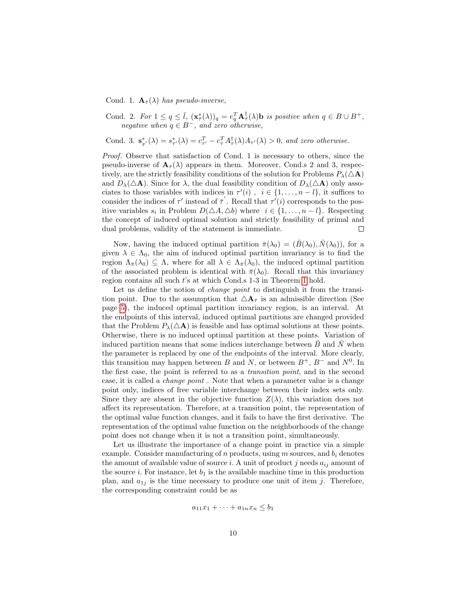Cond. 1.  $\mathbf{A}_{\bar{\tau}}(\lambda)$  has pseudo-inverse,

Cond. 2. For  $1 \leq q \leq \overline{l}$ ,  $(\mathbf{x}_{\overline{\tau}}^*(\lambda))_q = e_q^T \mathbf{A}_{\overline{\tau}}^{\dagger}(\lambda)$  is positive when  $q \in B \cup B^+$ , negative when  $q \in B^-$ , and zero otherwise,

Cond. 3.  $\mathbf{s}_{\bar{\tau}'}^*(\lambda) = s_{\tau'}^*(\lambda) = c_{\tau'}^T - c_{\tau}^T A_{\tau}^*(\lambda) A_{\tau'}(\lambda) > 0$ , and zero otherwise.

Proof. Observe that satisfaction of Cond. 1 is necessary to others, since the pseudo-inverse of  $\mathbf{A}_{\bar{\tau}}(\lambda)$  appears in them. Moreover, Cond.s 2 and 3, respectively, are the strictly feasibility conditions of the solution for Problems  $P_\lambda(\triangle \mathbf{A})$ and  $D_{\lambda}(\Delta \mathbf{A})$ . Since for  $\lambda$ , the dual feasibility condition of  $D_{\lambda}(\Delta \mathbf{A})$  only associates to those variables with indices in  $\tau'(i)$ ,  $i \in \{1, \ldots, n-l\}$ , it suffices to consider the indices of  $\tau'$  instead of  $\bar{\tau}'$ . Recall that  $\tau'(i)$  corresponds to the positive variables  $s_i$  in Problem  $D(\triangle A, \triangle b)$  where  $i \in \{1, ..., n-l\}$ . Respecting the concept of induced optimal solution and strictly feasibility of primal and dual problems, validity of the statement is immediate.  $\Box$ 

Now, having the induced optimal partition  $\bar{\pi}(\lambda_0) = (B(\lambda_0), N(\lambda_0))$ , for a given  $\lambda \in \Lambda_0$ , the aim of induced optimal partition invariancy is to find the region  $\Lambda_{\bar{\pi}}(\lambda_0) \subseteq \Lambda$ , where for all  $\lambda \in \Lambda_{\bar{\pi}}(\lambda_0)$ , the induced optimal partition of the associated problem is identical with  $\bar{\pi}(\lambda_0)$ . Recall that this invariancy region contains all such t's at which Cond.s 1-3 in Theorem [1](#page-8-0) hold.

Let us define the notion of *change point* to distinguish it from the transition point. Due to the assumption that  $\Delta A_{\bar{\tau}}$  is an admissible direction (See page [5\)](#page-4-0), the induced optimal partition invariancy region, is an interval. At the endpoints of this interval, induced optimal partitions are changed provided that the Problem  $P_{\lambda}(\Delta A)$  is feasible and has optimal solutions at these points. Otherwise, there is no induced optimal partition at these points. Variation of induced partition means that some indices interchange between  $\bar{B}$  and  $\bar{N}$  when the parameter is replaced by one of the endpoints of the interval. More clearly, this transition may happen between B and N, or between  $B^+$ ,  $B^-$  and  $N^0$ . In the first case, the point is referred to as a transition point, and in the second case, it is called a change point . Note that when a parameter value is a change point only, indices of free variable interchange between their index sets only. Since they are absent in the objective function  $Z(\lambda)$ , this variation does not affect its representation. Therefore, at a transition point, the representation of the optimal value function changes, and it fails to have the first derivative. The representation of the optimal value function on the neighborhoods of the change point does not change when it is not a transition point, simultaneously.

Let us illustrate the importance of a change point in practice via a simple example. Consider manufacturing of  $n$  products, using  $m$  sources, and  $b_i$  denotes the amount of available value of source i. A unit of product j needs  $a_{ij}$  amount of the source i. For instance, let  $b_1$  is the available machine time in this production plan, and  $a_{1j}$  is the time necessary to produce one unit of item j. Therefore, the corresponding constraint could be as

$$
a_{11}x_1 + \cdots + a_{1n}x_n \le b_1
$$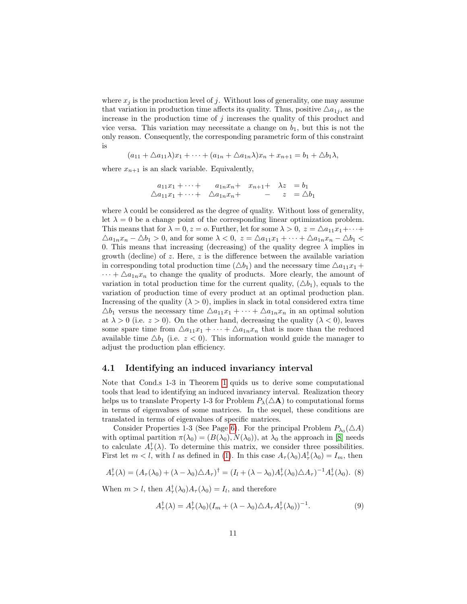where  $x_j$  is the production level of j. Without loss of generality, one may assume that variation in production time affects its quality. Thus, positive  $\Delta a_{1j}$ , as the increase in the production time of  $j$  increases the quality of this product and vice versa. This variation may necessitate a change on  $b_1$ , but this is not the only reason. Consequently, the corresponding parametric form of this constraint is

$$
(a_{11}+\triangle a_{11}\lambda)x_1+\cdots+(a_{1n}+\triangle a_{1n}\lambda)x_n+x_{n+1}=b_1+\triangle b_1\lambda,
$$

where  $x_{n+1}$  is an slack variable. Equivalently,

$$
a_{11}x_1 + \cdots + a_{1n}x_n + x_{n+1} + \lambda z = b_1
$$
  

$$
\Delta a_{11}x_1 + \cdots + \Delta a_{1n}x_n + - z = \Delta b_1
$$

where  $\lambda$  could be considered as the degree of quality. Without loss of generality, let  $\lambda = 0$  be a change point of the corresponding linear optimization problem. This means that for  $\lambda = 0$ ,  $z = 0$ . Further, let for some  $\lambda > 0$ ,  $z = \Delta a_{11}x_1 + \cdots$  $\Delta a_{1n}x_n - \Delta b_1 > 0$ , and for some  $\lambda < 0$ ,  $z = \Delta a_{11}x_1 + \cdots + \Delta a_{1n}x_n - \Delta b_1 <$ 0. This means that increasing (decreasing) of the quality degree  $\lambda$  implies in growth (decline) of  $z$ . Here,  $z$  is the difference between the available variation in corresponding total production time  $(\triangle b_1)$  and the necessary time  $\triangle a_{11}x_1 +$  $\cdots + \Delta a_{1n}x_n$  to change the quality of products. More clearly, the amount of variation in total production time for the current quality,  $(\triangle b_1)$ , equals to the variation of production time of every product at an optimal production plan. Increasing of the quality  $(\lambda > 0)$ , implies in slack in total considered extra time  $\triangle b_1$  versus the necessary time  $\triangle a_{11}x_1 + \cdots + \triangle a_{1n}x_n$  in an optimal solution at  $\lambda > 0$  (i.e.  $z > 0$ ). On the other hand, decreasing the quality  $(\lambda < 0)$ , leaves some spare time from  $\Delta a_{11}x_1 + \cdots + \Delta a_{1n}x_n$  that is more than the reduced available time  $\triangle b_1$  (i.e.  $z < 0$ ). This information would guide the manager to adjust the production plan efficiency.

#### 4.1 Identifying an induced invariancy interval

Note that Cond.s 1-3 in Theorem [1](#page-8-0) quids us to derive some computational tools that lead to identifying an induced invariancy interval. Realization theory helps us to translate Property 1-3 for Problem  $P_{\lambda}(\Delta \mathbf{A})$  to computational forms in terms of eigenvalues of some matrices. In the sequel, these conditions are translated in terms of eigenvalues of specific matrices.

Consider Properties 1-3 (See Page [6\)](#page-5-0). For the principal Problem  $P_{\lambda_0}(\triangle A)$ with optimal partition  $\pi(\lambda_0) = (B(\lambda_0), N(\lambda_0))$ , at  $\lambda_0$  the approach in [\[8\]](#page-21-2) needs to calculate  $A_{\tau}^{\dagger}(\lambda)$ . To determine this matrix, we consider three possibilities. First let  $m < l$ , with l as defined in [\(1\)](#page-4-1). In this case  $A_{\tau}(\lambda_0)A_{\tau}^{\dagger}(\lambda_0) = I_m$ , then

$$
A_{\tau}^{\dagger}(\lambda) = (A_{\tau}(\lambda_0) + (\lambda - \lambda_0)\triangle A_{\tau})^{\dagger} = (I_l + (\lambda - \lambda_0)A_{\tau}^{\dagger}(\lambda_0)\triangle A_{\tau})^{-1}A_{\tau}^{\dagger}(\lambda_0).
$$
 (8)

When  $m > l$ , then  $A_{\tau}^{\dagger}(\lambda_0)A_{\tau}(\lambda_0) = I_l$ , and therefore

<span id="page-10-0"></span>
$$
A_{\tau}^{\dagger}(\lambda) = A_{\tau}^{\dagger}(\lambda_0)(I_m + (\lambda - \lambda_0)\triangle A_{\tau}A_{\tau}^{\dagger}(\lambda_0))^{-1}.
$$
\n(9)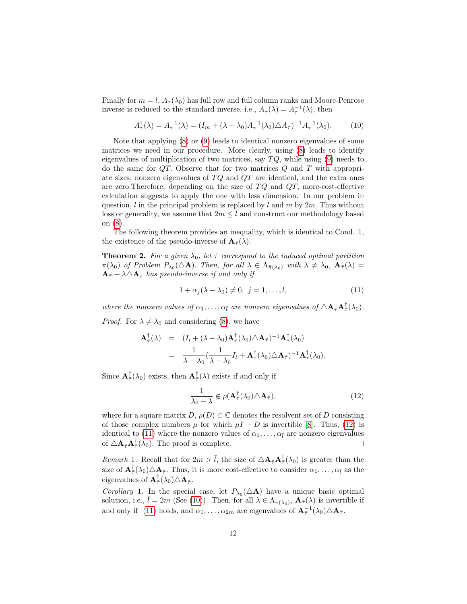Finally for  $m = l$ ,  $A_{\tau}(\lambda_0)$  has full row and full column ranks and Moore-Penrose inverse is reduced to the standard inverse, i.e.,  $A_{\tau}^{\dagger}(\lambda) = A_{\tau}^{-1}(\lambda)$ , then

<span id="page-11-2"></span>
$$
A_{\tau}^{\dagger}(\lambda) = A_{\tau}^{-1}(\lambda) = (I_m + (\lambda - \lambda_0)A_{\tau}^{-1}(\lambda_0)\triangle A_{\tau})^{-1}A_{\tau}^{-1}(\lambda_0). \tag{10}
$$

Note that applying [\(8\)](#page-7-1) or [\(9\)](#page-10-0) leads to identical nonzero eigenvalues of some matrices we need in our procedure. More clearly, using [\(8\)](#page-7-1) leads to identify eigenvalues of multiplication of two matrices, say  $TQ$ , while using [\(9\)](#page-10-0) needs to do the same for  $QT$ . Observe that for two matrices  $Q$  and  $T$  with appropriate sizes, nonzero eigenvalues of  $TQ$  and  $QT$  are identical, and the extra ones are zero. Therefore, depending on the size of  $TQ$  and  $QT$ , more-cost-effective calculation suggests to apply the one with less dimension. In our problem in question,  $l$  in the principal problem is replaced by  $l$  and  $m$  by  $2m$ . Thus without loss or generality, we assume that  $2m \leq l$  and construct our methodology based on [\(8\)](#page-7-1).

The following theorem provides an inequality, which is identical to Cond. 1, the existence of the pseudo-inverse of  $\mathbf{A}_{\bar{\tau}}(\lambda)$ .

<span id="page-11-4"></span>**Theorem 2.** For a given  $\lambda_0$ , let  $\bar{\tau}$  correspond to the induced optimal partition  $\bar{\pi}(\lambda_0)$  of Problem  $P_{\lambda_0}(\Delta \mathbf{A})$ . Then, for all  $\lambda \in \Lambda_{\bar{\pi}(\lambda_0)}$  with  $\lambda \neq \lambda_0$ ,  $\mathbf{A}_{\bar{\pi}}(\lambda) =$  $\mathbf{A}_{\bar{\tau}} + \lambda \Delta \mathbf{A}_{\bar{\tau}}$  has pseudo-inverse if and only if

<span id="page-11-1"></span>
$$
1 + \alpha_j(\lambda - \lambda_0) \neq 0, \ j = 1, \dots, \bar{l}, \tag{11}
$$

where the nonzero values of  $\alpha_1, \ldots, \alpha_{\bar{l}}$  are nonzero eigenvalues of  $\Delta A_{\bar{\tau}} A_{\bar{\tau}}^{\dagger}(\lambda_0)$ .

*Proof.* For  $\lambda \neq \lambda_0$  and considering [\(8\)](#page-7-1), we have

$$
\mathbf{A}_{\bar{\tau}}^{\dagger}(\lambda) = (I_{\bar{l}} + (\lambda - \lambda_0) \mathbf{A}_{\bar{\tau}}^{\dagger}(\lambda_0) \triangle \mathbf{A}_{\bar{\tau}})^{-1} \mathbf{A}_{\bar{\tau}}^{\dagger}(\lambda_0)
$$
  
= 
$$
\frac{1}{\lambda - \lambda_0} (\frac{1}{\lambda - \lambda_0} I_{\bar{l}} + \mathbf{A}_{\bar{\tau}}^{\dagger}(\lambda_0) \triangle \mathbf{A}_{\bar{\tau}})^{-1} \mathbf{A}_{\bar{\tau}}^{\dagger}(\lambda_0).
$$

Since  $\mathbf{A}_{\bar{\tau}}^{\dagger}(\lambda_0)$  exists, then  $\mathbf{A}_{\bar{\tau}}^{\dagger}(\lambda)$  exists if and only if

<span id="page-11-0"></span>
$$
\frac{1}{\lambda_0 - \lambda} \notin \rho(\mathbf{A}_{\bar{\tau}}^{\dagger}(\lambda_0) \triangle \mathbf{A}_{\bar{\tau}}), \tag{12}
$$

where for a square matrix  $D, \rho(D) \subset \mathbb{C}$  denotes the resolvent set of D consisting of those complex numbers  $\mu$  for which  $\mu I - D$  is invertible [\[8\]](#page-21-2). Thus, [\(12\)](#page-11-0) is identical to [\(11\)](#page-11-1) where the nonzero values of  $\alpha_1, \ldots, \alpha_{\bar{l}}$  are nonzero eigenvalues of  $\triangle \mathbf{A}_{\bar{\tau}} \mathbf{A}_{\bar{\tau}}^{\dagger}(\lambda_0)$ . The proof is complete.  $\Box$ 

<span id="page-11-3"></span>Remark 1. Recall that for  $2m > \bar{l}$ , the size of  $\Delta \mathbf{A}_{\bar{\tau}} \mathbf{A}_{\bar{\tau}}^{\dagger}(\lambda_0)$  is greater than the size of  $\mathbf{A}_{\bar{\tau}}^{\dagger}(\lambda_0)\triangle \mathbf{A}_{\bar{\tau}}$ . Thus, it is more cost-effective to consider  $\alpha_1,\ldots,\alpha_{\bar{l}}$  as the eigenvalues of  ${\bf A}^{\dagger}_{\bar{\tau}}(\lambda_0)\triangle {\bf A}_{\bar{\tau}}$ .

Corollary 1. In the special case, let  $P_{\lambda_0}(\Delta \mathbf{A})$  have a unique basic optimal solution, i.e.,  $\bar{l} = 2m$  (See [\(10\)](#page-11-2)). Then, for all  $\lambda \in \Lambda_{\bar{\pi}(\lambda_0)}$ ,  $\mathbf{A}_{\bar{\tau}}(\lambda)$  is invertible if and only if [\(11\)](#page-11-1) holds, and  $\alpha_1, \ldots, \alpha_{2m}$  are eigenvalues of  $\mathbf{A}_{\bar{\tau}}^{-1}(\lambda_0) \triangle \mathbf{A}_{\bar{\tau}}$ .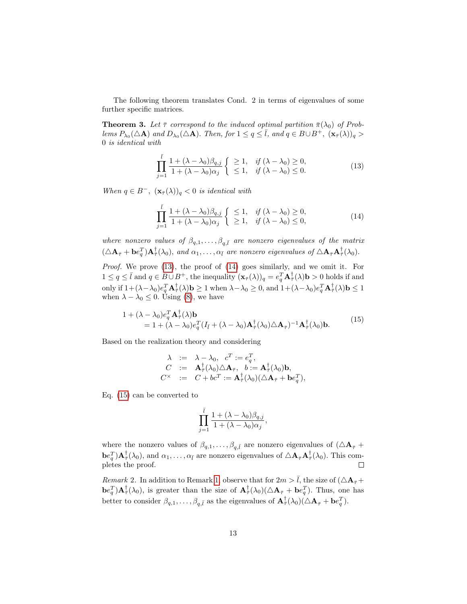The following theorem translates Cond. 2 in terms of eigenvalues of some further specific matrices.

<span id="page-12-3"></span>**Theorem 3.** Let  $\bar{\tau}$  correspond to the induced optimal partition  $\bar{\pi}(\lambda_0)$  of Problems  $P_{\lambda_0}(\triangle \mathbf{A})$  and  $D_{\lambda_0}(\triangle \mathbf{A})$ . Then, for  $1 \leq q \leq \overline{l}$ , and  $q \in B \cup B^+$ ,  $(\mathbf{x}_{\overline{r}}(\lambda))_q >$ 0 is identical with

<span id="page-12-0"></span>
$$
\prod_{j=1}^{\bar{l}} \frac{1 + (\lambda - \lambda_0)\beta_{q,j}}{1 + (\lambda - \lambda_0)\alpha_j} \begin{cases} \geq 1, & \text{if } (\lambda - \lambda_0) \geq 0, \\ \leq 1, & \text{if } (\lambda - \lambda_0) \leq 0. \end{cases}
$$
\n(13)

When  $q \in B^-$ ,  $(\mathbf{x}_{\bar{\tau}}(\lambda))_q < 0$  is identical with

<span id="page-12-1"></span>
$$
\prod_{j=1}^{\overline{l}} \frac{1 + (\lambda - \lambda_0)\beta_{q,j}}{1 + (\lambda - \lambda_0)\alpha_j} \begin{cases} \leq 1, & \text{if } (\lambda - \lambda_0) \geq 0, \\ \geq 1, & \text{if } (\lambda - \lambda_0) \leq 0, \end{cases}
$$
\n(14)

where nonzero values of  $\beta_{q,1}, \ldots, \beta_{q,\bar{l}}$  are nonzero eigenvalues of the matrix  $(\Delta \mathbf{A}_{\bar{\tau}} + \mathbf{b} e_{q}^{T}) \mathbf{A}_{\bar{\tau}}^{\dagger}(\lambda_0)$ , and  $\alpha_1, \ldots, \alpha_{\bar{l}}$  are nonzero eigenvalues of  $\Delta \mathbf{A}_{\bar{\tau}} \mathbf{A}_{\bar{\tau}}^{\dagger}(\lambda_0)$ .

Proof. We prove [\(13\)](#page-12-0), the proof of [\(14\)](#page-12-1) goes similarly, and we omit it. For  $1 \le q \le \bar{l}$  and  $q \in B \cup B^+$ , the inequality  $(\mathbf{x}_{\bar{r}}(\lambda))_q = e_q^T \mathbf{A}_{\bar{r}}^{\dagger}(\lambda) \mathbf{b} > 0$  holds if and only if  $1 + (\lambda - \lambda_0) e_q^T \mathbf{A}_{\bar{\tau}}^{\dagger}(\lambda) \mathbf{b} \ge 1$  when  $\lambda - \lambda_0 \ge 0$ , and  $1 + (\lambda - \lambda_0) e_q^T \mathbf{A}_{\bar{\tau}}^{\dagger}(\lambda) \mathbf{b} \le 1$ when  $\lambda - \lambda_0 \leq 0$ . Using [\(8\)](#page-7-1), we have

<span id="page-12-2"></span>
$$
\begin{split} 1 + (\lambda - \lambda_0) e_q^T \mathbf{A}_{\bar{\tau}}^{\dagger}(\lambda) \mathbf{b} \\ &= 1 + (\lambda - \lambda_0) e_q^T (I_{\bar{l}} + (\lambda - \lambda_0) \mathbf{A}_{\bar{\tau}}^{\dagger}(\lambda_0) \triangle \mathbf{A}_{\bar{\tau}})^{-1} \mathbf{A}_{\bar{\tau}}^{\dagger}(\lambda_0) \mathbf{b}. \end{split} \tag{15}
$$

Based on the realization theory and considering

$$
\begin{array}{rcl} \lambda & := & \lambda - \lambda_0, \ \ c^T := e_q^T, \\ C & := & \mathbf{A}_\tau^\dagger(\lambda_0) \triangle \mathbf{A}_\tau, \ \ b := \mathbf{A}_\tau^\dagger(\lambda_0) \mathbf{b}, \\ C^\times & := & C + bc^T := \mathbf{A}_\tau^\dagger(\lambda_0) (\triangle \mathbf{A}_\tau + \mathbf{b} e_q^T), \end{array}
$$

Eq. [\(15\)](#page-12-2) can be converted to

$$
\prod_{j=1}^{\bar{l}}\frac{1+(\lambda-\lambda_0)\beta_{q,j}}{1+(\lambda-\lambda_0)\alpha_j},
$$

where the nonzero values of  $\beta_{q,1}, \ldots, \beta_{q,\bar{l}}$  are nonzero eigenvalues of  $(\Delta \mathbf{A}_{\bar{\tau}} + \mathbf{A}_{\bar{\tau}})$  $\mathbf{b}e_q^T$ ) $\mathbf{A}_{\bar{\tau}}^{\dagger}(\lambda_0)$ , and  $\alpha_1, \ldots, \alpha_{\bar{l}}$  are nonzero eigenvalues of  $\triangle \mathbf{A}_{\bar{\tau}}\mathbf{A}_{\bar{\tau}}^{\dagger}(\lambda_0)$ . This completes the proof.  $\Box$ 

Remark 2. In addition to Remark [1,](#page-11-3) observe that for  $2m > \bar{l}$ , the size of  $(\Delta A_{\bar{\tau}} +$  $\mathbf{b}e_q^T$ ) $\mathbf{A}_{\bar{\tau}}^{\dagger}(\lambda_0)$ , is greater than the size of  $\mathbf{A}_{\bar{\tau}}^{\dagger}(\lambda_0)(\Delta \mathbf{A}_{\bar{\tau}} + \mathbf{b}e_q^T)$ . Thus, one has better to consider  $\beta_{q,1}, \ldots, \beta_{q,\bar{l}}$  as the eigenvalues of  $\mathbf{A}_{\bar{\tau}}^{\dagger}(\lambda_0)(\Delta \mathbf{A}_{\bar{\tau}} + \mathbf{b}e_q^T)$ .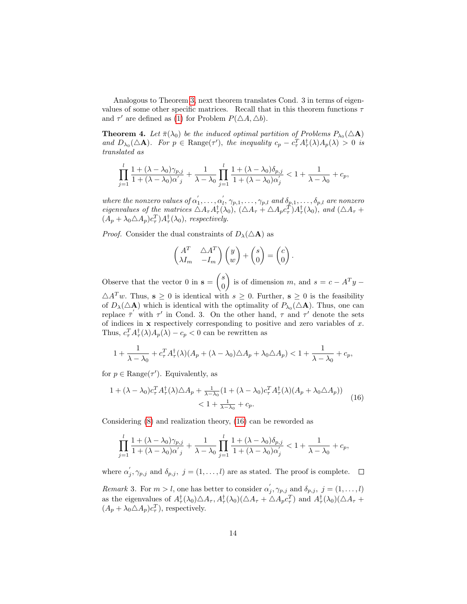Analogous to Theorem [3,](#page-12-3) next theorem translates Cond. 3 in terms of eigenvalues of some other specific matrices. Recall that in this theorem functions  $\tau$ and  $\tau'$  are defined as [\(1\)](#page-4-1) for Problem  $P(\triangle A, \triangle b)$ .

<span id="page-13-2"></span>**Theorem 4.** Let  $\bar{\pi}(\lambda_0)$  be the induced optimal partition of Problems  $P_{\lambda_0}(\Delta \mathbf{A})$ and  $D_{\lambda_0}(\triangle \mathbf{A})$ . For  $p \in \text{Range}(\tau')$ , the inequality  $c_p - c_\tau^T A_\tau^{\dagger}(\lambda) A_p(\lambda) > 0$  is translated as

<span id="page-13-0"></span>
$$
\prod_{j=1}^l \frac{1 + (\lambda - \lambda_0)\gamma_{p,j}}{1 + (\lambda - \lambda_0)\alpha'_j} + \frac{1}{\lambda - \lambda_0} \prod_{j=1}^l \frac{1 + (\lambda - \lambda_0)\delta_{p,j}}{1 + (\lambda - \lambda_0)\alpha'_j} < 1 + \frac{1}{\lambda - \lambda_0} + c_p,
$$

where the nonzero values of  $\alpha'_1, \ldots, \alpha'_l, \gamma_{p,1}, \ldots, \gamma_{p,l}$  and  $\delta_{p,1}, \ldots, \delta_{p,l}$  are nonzero eigenvalues of the matrices  $\triangle A_{\tau} A_{\tau}^{\dagger}(\lambda_0)$ ,  $(\triangle A_{\tau} + \triangle A_p c_{\tau}^T) A_{\tau}^{\dagger}(\lambda_0)$ , and  $(\triangle A_{\tau} +$  $(A_p + \lambda_0 \triangle A_p) c_\tau^T A_\tau^\dagger(\lambda_0)$ , respectively.

*Proof.* Consider the dual constraints of  $D_{\lambda}(\Delta \mathbf{A})$  as

$$
\begin{pmatrix} A^T & \triangle A^T \\ \lambda I_m & -I_m \end{pmatrix} \begin{pmatrix} y \\ w \end{pmatrix} + \begin{pmatrix} s \\ 0 \end{pmatrix} = \begin{pmatrix} c \\ 0 \end{pmatrix}.
$$

Observe that the vector 0 in  $s = \begin{pmatrix} s \\ 0 \end{pmatrix}$ 0 is of dimension m, and  $s = c - A<sup>T</sup>y \triangle A^T w$ . Thus,  $s \geq 0$  is identical with  $s \geq 0$ . Further,  $s \geq 0$  is the feasibility of  $D_{\lambda}(\Delta \mathbf{A})$  which is identical with the optimality of  $P_{\lambda_0}(\Delta \mathbf{A})$ . Thus, one can replace  $\bar{\tau}'$  with  $\tau'$  in Cond. 3. On the other hand,  $\tau$  and  $\tau'$  denote the sets of indices in  $x$  respectively corresponding to positive and zero variables of  $x$ . Thus,  $c_\tau^T A_\tau^{\dagger}(\lambda) A_p(\lambda) - c_p < 0$  can be rewritten as

$$
1+\frac{1}{\lambda-\lambda_0}+c_\tau^TA_\tau^\dagger(\lambda)(A_p+(\lambda-\lambda_0)\triangle A_p+\lambda_0\triangle A_p)<1+\frac{1}{\lambda-\lambda_0}+c_p,
$$

for  $p \in \text{Range}(\tau')$ . Equivalently, as

$$
\begin{split} 1 + (\lambda - \lambda_0) c_\tau^T A_\tau^\dagger(\lambda) \triangle A_p + \frac{1}{\lambda - \lambda_0} (1 + (\lambda - \lambda_0) c_\tau^T A_\tau^\dagger(\lambda) (A_p + \lambda_0 \triangle A_p)) \\ &< 1 + \frac{1}{\lambda - \lambda_0} + c_p. \end{split} \tag{16}
$$

Considering [\(8\)](#page-7-1) and realization theory, [\(16\)](#page-13-0) can be reworded as

$$
\prod_{j=1}^{l} \frac{1 + (\lambda - \lambda_0)\gamma_{p,j}}{1 + (\lambda - \lambda_0)\alpha'_{j}} + \frac{1}{\lambda - \lambda_0} \prod_{j=1}^{l} \frac{1 + (\lambda - \lambda_0)\delta_{p,j}}{1 + (\lambda - \lambda_0)\alpha'_{j}} < 1 + \frac{1}{\lambda - \lambda_0} + c_p,
$$

where  $\alpha'_{j}, \gamma_{p,j}$  and  $\delta_{p,j}, j = (1, \ldots, l)$  are as stated. The proof is complete.

<span id="page-13-1"></span>Remark 3. For  $m > l$ , one has better to consider  $\alpha'_{j}, \gamma_{p,j}$  and  $\delta_{p,j}, j = (1, \ldots, l)$ as the eigenvalues of  $A_{\tau}^{\dagger}(\lambda_0) \triangle A_{\tau}$ ,  $A_{\tau}^{\dagger}(\lambda_0) (\triangle A_{\tau} + \triangle A_p c_{\tau}^T)$  and  $A_{\tau}^{\dagger}(\lambda_0) (\triangle A_{\tau} +$  $(A_p + \lambda_0 \triangle A_p) c_\tau^T$ , respectively.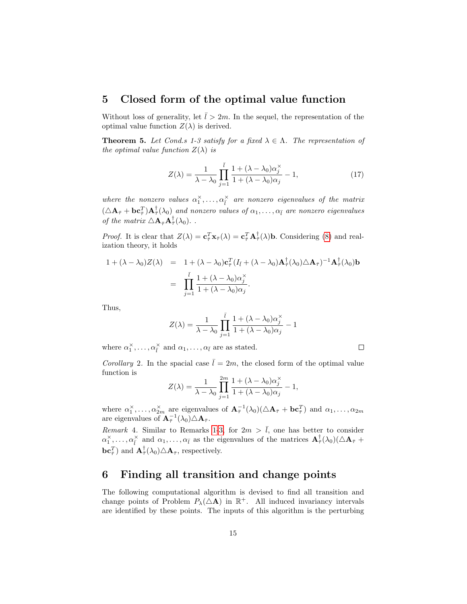#### 5 Closed form of the optimal value function

Without loss of generality, let  $\bar{l} > 2m$ . In the sequel, the representation of the optimal value function  $Z(\lambda)$  is derived.

**Theorem 5.** Let Cond.s 1-3 satisfy for a fixed  $\lambda \in \Lambda$ . The representation of the optimal value function  $Z(\lambda)$  is

<span id="page-14-1"></span>
$$
Z(\lambda) = \frac{1}{\lambda - \lambda_0} \prod_{j=1}^{\bar{l}} \frac{1 + (\lambda - \lambda_0)\alpha_j^{\times}}{1 + (\lambda - \lambda_0)\alpha_j} - 1, \qquad (17)
$$

 $\Box$ 

where the nonzero values  $\alpha_1^{\times}, \ldots, \alpha_l^{\times}$  are nonzero eigenvalues of the matrix  $(\Delta A_{\bar{\tau}}+ \mathbf{b}\mathbf{c}^T_{\bar{\tau}})\mathbf{A}^\dagger_{\bar{\tau}}(\lambda_0)$  and nonzero values of  $\alpha_1,\ldots,\alpha_{\bar{l}}$  are nonzero eigenvalues of the matrix  $\Delta \mathbf{A}_{\bar{\tau}} \mathbf{A}_{\bar{\tau}}^{\dagger}(\lambda_0)$ ..

*Proof.* It is clear that  $Z(\lambda) = \mathbf{c}_{\bar{\tau}}^T \mathbf{x}_{\bar{\tau}}(\lambda) = \mathbf{c}_{\bar{\tau}}^T \mathbf{A}_{\bar{\tau}}^{\dagger}(\lambda) \mathbf{b}$ . Considering [\(8\)](#page-7-1) and realization theory, it holds

$$
1 + (\lambda - \lambda_0)Z(\lambda) = 1 + (\lambda - \lambda_0)\mathbf{c}_{\bar{\tau}}^T (I_{\bar{t}} + (\lambda - \lambda_0)\mathbf{A}_{\bar{\tau}}^{\dagger}(\lambda_0)\triangle \mathbf{A}_{\bar{\tau}})^{-1}\mathbf{A}_{\bar{\tau}}^{\dagger}(\lambda_0)\mathbf{b}
$$
  
= 
$$
\prod_{j=1}^{\bar{t}} \frac{1 + (\lambda - \lambda_0)\alpha_j^{\times}}{1 + (\lambda - \lambda_0)\alpha_j}.
$$

Thus,

$$
Z(\lambda) = \frac{1}{\lambda - \lambda_0} \prod_{j=1}^{\overline{l}} \frac{1 + (\lambda - \lambda_0)\alpha_j^{\times}}{1 + (\lambda - \lambda_0)\alpha_j} - 1
$$

where  $\alpha_1^{\times}, \ldots, \alpha_{\bar{l}}^{\times}$  and  $\alpha_1, \ldots, \alpha_{\bar{l}}$  are as stated.

Corollary 2. In the spacial case  $\bar{l} = 2m$ , the closed form of the optimal value function is

$$
Z(\lambda) = \frac{1}{\lambda - \lambda_0} \prod_{j=1}^{2m} \frac{1 + (\lambda - \lambda_0)\alpha_j^{\times}}{1 + (\lambda - \lambda_0)\alpha_j} - 1,
$$

where  $\alpha_1^{\times}, \ldots, \alpha_{2m}^{\times}$  are eigenvalues of  $\mathbf{A}_{\bar{\tau}}^{-1}(\lambda_0)(\Delta \mathbf{A}_{\bar{\tau}} + \mathbf{b}\mathbf{c}_{\bar{\tau}}^T)$  and  $\alpha_1, \ldots, \alpha_{2m}$ are eigenvalues of  $\mathbf{A}_{\bar{\tau}}^{-1}(\lambda_0) \triangle \mathbf{A}_{\bar{\tau}}$ .

Remark 4. Similar to Remarks [1-](#page-11-3)[3,](#page-13-1) for  $2m > \overline{l}$ , one has better to consider  $\alpha_1^{\times}, \ldots, \alpha_{\bar{l}}^{\times}$  and  $\alpha_1, \ldots, \alpha_{\bar{l}}$  as the eigenvalues of the matrices  $\mathbf{A}_{\bar{\tau}}^{\dagger}(\lambda_0)(\triangle \mathbf{A}_{\bar{\tau}} + \triangle \mathbf{A}_{\bar{\tau}}^{\dagger})$  $\mathbf{bc}^T_{\bar{\tau}}$  and  $\mathbf{A}_{\bar{\tau}}^{\dagger}(\lambda_0) \triangle \mathbf{A}_{\bar{\tau}}$ , respectively.

### <span id="page-14-0"></span>6 Finding all transition and change points

The following computational algorithm is devised to find all transition and change points of Problem  $P_{\lambda}(\Delta \mathbf{A})$  in  $\mathbb{R}^+$ . All induced invariancy intervals are identified by these points. The inputs of this algorithm is the perturbing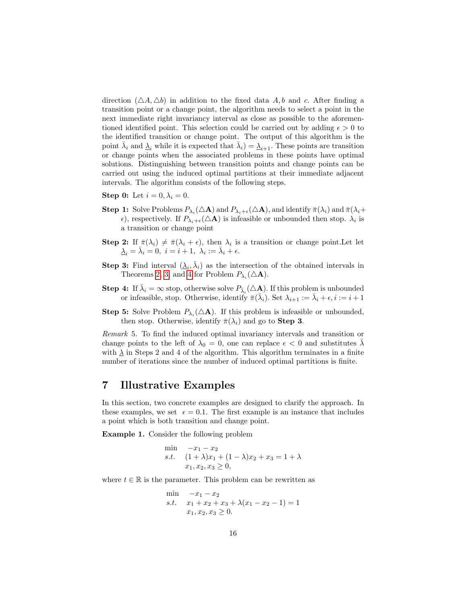direction  $(\triangle A, \triangle b)$  in addition to the fixed data A, b and c. After finding a transition point or a change point, the algorithm needs to select a point in the next immediate right invariancy interval as close as possible to the aforementioned identified point. This selection could be carried out by adding  $\epsilon > 0$  to the identified transition or change point. The output of this algorithm is the point  $\bar{\lambda}_i$  and  $\underline{\lambda}_i$  while it is expected that  $\bar{\lambda}_i$  =  $\underline{\lambda}_{i+1}$ . These points are transition or change points when the associated problems in these points have optimal solutions. Distinguishing between transition points and change points can be carried out using the induced optimal partitions at their immediate adjacent intervals. The algorithm consists of the following steps.

Step 0: Let  $i = 0, \lambda_i = 0$ .

- **Step 1:** Solve Problems  $P_{\lambda_i}(\Delta \mathbf{A})$  and  $P_{\lambda_i+\epsilon}(\Delta \mathbf{A})$ , and identify  $\bar{\pi}(\lambda_i)$  and  $\bar{\pi}(\lambda_i+\epsilon_i)$  $\epsilon$ ), respectively. If  $P_{\lambda_i+\epsilon}(\Delta \mathbf{A})$  is infeasible or unbounded then stop.  $\lambda_i$  is a transition or change point
- **Step 2:** If  $\bar{\pi}(\lambda_i) \neq \bar{\pi}(\lambda_i + \epsilon)$ , then  $\lambda_i$  is a transition or change point. Let let  $\underline{\lambda}_i = \bar{\lambda}_i = 0, \ i = i+1, \ \lambda_i := \bar{\lambda}_i + \epsilon.$
- **Step 3:** Find interval  $(\underline{\lambda}_i, \overline{\lambda}_i)$  as the intersection of the obtained intervals in Theorems [2,](#page-11-4) [3,](#page-12-3) and [4](#page-13-2) for Problem  $P_{\lambda_i}(\Delta \mathbf{A})$ .
- **Step 4:** If  $\bar{\lambda}_i = \infty$  stop, otherwise solve  $P_{\bar{\lambda}_i}(\triangle \mathbf{A})$ . If this problem is unbounded or infeasible, stop. Otherwise, identify  $\bar{\pi}(\bar{\lambda}_i)$ . Set  $\lambda_{i+1} := \bar{\lambda}_i + \epsilon, i := i+1$
- **Step 5:** Solve Problem  $P_{\lambda_i}(\Delta \mathbf{A})$ . If this problem is infeasible or unbounded, then stop. Otherwise, identify  $\bar{\pi}(\lambda_i)$  and go to **Step 3**.

Remark 5. To find the induced optimal invariancy intervals and transition or change points to the left of  $\lambda_0 = 0$ , one can replace  $\epsilon < 0$  and substitutes  $\overline{\lambda}$ with  $\lambda$  in Steps 2 and 4 of the algorithm. This algorithm terminates in a finite number of iterations since the number of induced optimal partitions is finite.

# <span id="page-15-0"></span>7 Illustrative Examples

In this section, two concrete examples are designed to clarify the approach. In these examples, we set  $\epsilon = 0.1$ . The first example is an instance that includes a point which is both transition and change point.

<span id="page-15-2"></span>Example 1. Consider the following problem

<span id="page-15-1"></span>
$$
\min \quad -x_1 - x_2\ns.t. \quad (1 + \lambda)x_1 + (1 - \lambda)x_2 + x_3 = 1 + \lambda\nx_1, x_2, x_3 \ge 0,
$$

where  $t \in \mathbb{R}$  is the parameter. This problem can be rewritten as

$$
\min \quad -x_1 - x_2\ns.t. \quad x_1 + x_2 + x_3 + \lambda(x_1 - x_2 - 1) = 1\nx_1, x_2, x_3 \ge 0.
$$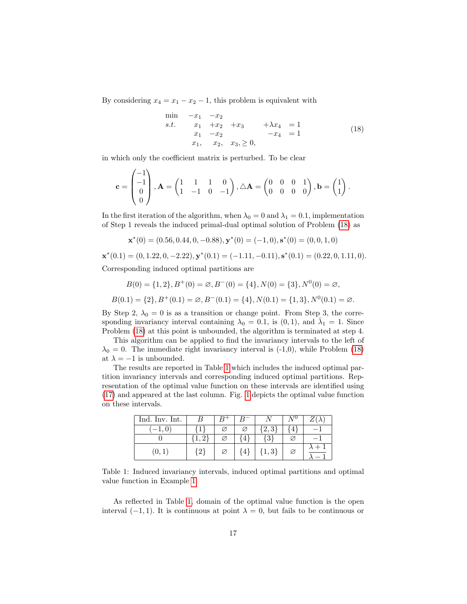By considering  $x_4 = x_1 - x_2 - 1$ , this problem is equivalent with

$$
\begin{array}{ll}\n\text{min} & -x_1 & -x_2 \\
\text{s.t.} & x_1 & +x_2 & +x_3 & +\lambda x_4 & = 1 \\
& x_1 & -x_2 & -x_4 & = 1 \\
& x_1, \quad x_2, \quad x_3, \ge 0,\n\end{array}\n\tag{18}
$$

in which only the coefficient matrix is perturbed. To be clear

$$
\mathbf{c} = \begin{pmatrix} -1 \\ -1 \\ 0 \\ 0 \end{pmatrix}, \mathbf{A} = \begin{pmatrix} 1 & 1 & 1 & 0 \\ 1 & -1 & 0 & -1 \end{pmatrix}, \triangle \mathbf{A} = \begin{pmatrix} 0 & 0 & 0 & 1 \\ 0 & 0 & 0 & 0 \end{pmatrix}, \mathbf{b} = \begin{pmatrix} 1 \\ 1 \end{pmatrix}.
$$

In the first iteration of the algorithm, when  $\lambda_0 = 0$  and  $\lambda_1 = 0.1$ , implementation of Step 1 reveals the induced primal-dual optimal solution of Problem [\(18\)](#page-15-1) as

$$
\mathbf{x}^*(0) = (0.56, 0.44, 0, -0.88), \mathbf{y}^*(0) = (-1, 0), \mathbf{s}^*(0) = (0, 0, 1, 0)
$$

 $\mathbf{x}^*(0.1) = (0, 1.22, 0, -2.22), \mathbf{y}^*(0.1) = (-1.11, -0.11), \mathbf{s}^*(0.1) = (0.22, 0, 1.11, 0).$ Corresponding induced optimal partitions are

 $B(0) = \{1, 2\}, B^+(0) = \emptyset, B^-(0) = \{4\}, N(0) = \{3\}, N^0(0) = \emptyset,$ 

 $B(0.1) = \{2\}, B^+(0.1) = \emptyset, B^-(0.1) = \{4\}, N(0.1) = \{1, 3\}, N^0(0.1) = \emptyset.$ 

By Step 2,  $\lambda_0 = 0$  is as a transition or change point. From Step 3, the corresponding invariancy interval containing  $\lambda_0 = 0.1$ , is  $(0, 1)$ , and  $\bar{\lambda}_1 = 1$ . Since Problem [\(18\)](#page-15-1) at this point is unbounded, the algorithm is terminated at step 4.

This algorithm can be applied to find the invariancy intervals to the left of  $\lambda_0 = 0$ . The immediate right invariancy interval is (-1,0), while Problem [\(18\)](#page-15-1) at  $\lambda = -1$  is unbounded.

The results are reported in Table [1](#page-16-0) which includes the induced optimal partition invariancy intervals and corresponding induced optimal partitions. Representation of the optimal value function on these intervals are identified using [\(17\)](#page-14-1) and appeared at the last column. Fig. [1](#page-17-0) depicts the optimal value function on these intervals.

<span id="page-16-0"></span>

| Ind. Inv. Int. |             |   |                |           | ΔU | ZΙ    |
|----------------|-------------|---|----------------|-----------|----|-------|
| $-1,0$         |             | Ø | Ø              | 2,3       | 4  |       |
|                | 1, 2        | Ø | 4              | {3}       | e  |       |
| (0, 1)         | $ 2\rangle$ | Ø | 4 <sup>1</sup> | $\{1,3\}$ | Ø  | . + ۰ |

Table 1: Induced invariancy intervals, induced optimal partitions and optimal value function in Example [1.](#page-15-2)

As reflected in Table [1,](#page-16-0) domain of the optimal value function is the open interval  $(-1, 1)$ . It is continuous at point  $\lambda = 0$ , but fails to be continuous or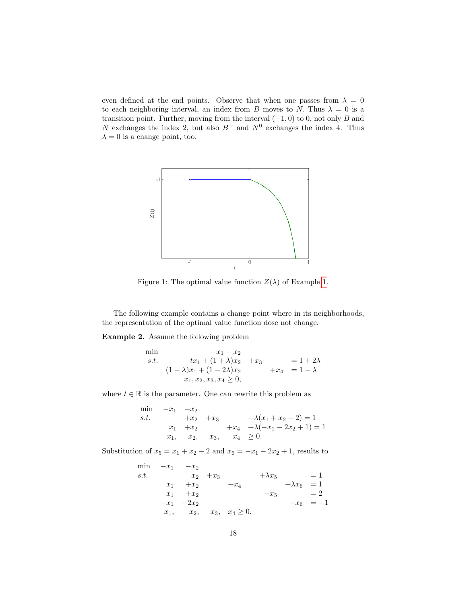even defined at the end points. Observe that when one passes from  $\lambda = 0$ to each neighboring interval, an index from B moves to N. Thus  $\lambda = 0$  is a transition point. Further, moving from the interval  $(-1, 0)$  to 0, not only B and N exchanges the index 2, but also  $B^-$  and  $N^0$  exchanges the index 4. Thus  $\lambda = 0$  is a change point, too.

<span id="page-17-0"></span>

Figure 1: The optimal value function  $Z(\lambda)$  of Example [1.](#page-15-2)

The following example contains a change point where in its neighborhoods, the representation of the optimal value function dose not change.

<span id="page-17-1"></span>Example 2. Assume the following problem

$$
\begin{array}{ll}\n\min & -x_1 - x_2 \\
s.t. & tx_1 + (1 + \lambda)x_2 + x_3 = 1 + 2\lambda \\
(1 - \lambda)x_1 + (1 - 2\lambda)x_2 + x_4 = 1 - \lambda \\
x_1, x_2, x_3, x_4 \ge 0,\n\end{array}
$$

where  $t \in \mathbb{R}$  is the parameter. One can rewrite this problem as

min  $-x_1$   $-x_2$ s.t.  $+x_2 + x_3 +\lambda(x_1 + x_2 - 2) = 1$  $x_1$  +x<sub>2</sub> +  $x_4$  +  $\lambda(-x_1 - 2x_2 + 1) = 1$  $x_1, x_2, x_3, x_4 \geq 0.$ 

Substitution of  $x_5 = x_1 + x_2 - 2$  and  $x_6 = -x_1 - 2x_2 + 1$ , results to

$$
\begin{array}{llll}\n\min & -x_1 & -x_2 \\
s.t. & & x_2 & +x_3 & +\lambda x_5 & = 1 \\
& x_1 & +x_2 & +x_4 & +\lambda x_6 & = 1 \\
& x_1 & +x_2 & -x_5 & = 2 \\
& -x_1 & -2x_2 & -x_6 & = -1 \\
& x_1, & x_2, & x_3, & x_4 \ge 0,\n\end{array}
$$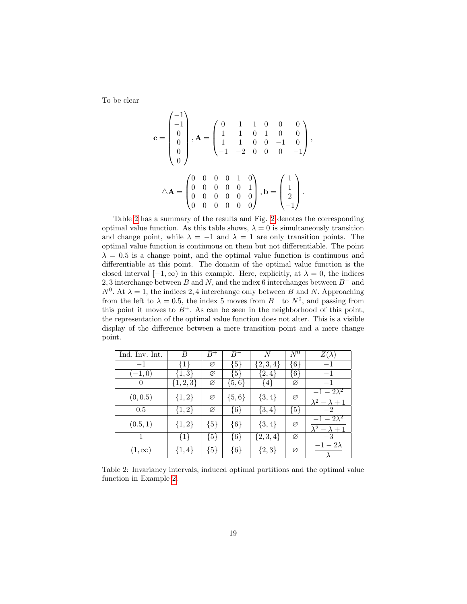To be clear

$$
\mathbf{c} = \begin{pmatrix} -1 \\ -1 \\ 0 \\ 0 \\ 0 \end{pmatrix}, \mathbf{A} = \begin{pmatrix} 0 & 1 & 1 & 0 & 0 & 0 \\ 1 & 1 & 0 & 1 & 0 & 0 \\ 1 & 1 & 0 & 0 & -1 & 0 \\ -1 & -2 & 0 & 0 & 0 & -1 \end{pmatrix},
$$

$$
\Delta \mathbf{A} = \begin{pmatrix} 0 & 0 & 0 & 0 & 1 & 0 \\ 0 & 0 & 0 & 0 & 0 & 1 \\ 0 & 0 & 0 & 0 & 0 & 0 \\ 0 & 0 & 0 & 0 & 0 & 0 \end{pmatrix}, \mathbf{b} = \begin{pmatrix} 1 \\ 1 \\ 2 \\ -1 \end{pmatrix}.
$$

Table [2](#page-18-0) has a summary of the results and Fig. [2](#page-19-0) denotes the corresponding optimal value function. As this table shows,  $\lambda = 0$  is simultaneously transition and change point, while  $\lambda = -1$  and  $\lambda = 1$  are only transition points. The optimal value function is continuous on them but not differentiable. The point  $\lambda = 0.5$  is a change point, and the optimal value function is continuous and differentiable at this point. The domain of the optimal value function is the closed interval  $[-1, \infty)$  in this example. Here, explicitly, at  $\lambda = 0$ , the indices 2, 3 interchange between B and N, and the index 6 interchanges between  $B^-$  and  $N^0$ . At  $\lambda = 1$ , the indices 2, 4 interchange only between B and N. Approaching from the left to  $\lambda = 0.5$ , the index 5 moves from  $B^-$  to  $N^0$ , and passing from this point it moves to  $B^+$ . As can be seen in the neighborhood of this point, the representation of the optimal value function does not alter. This is a visible display of the difference between a mere transition point and a mere change point.

<span id="page-18-0"></span>

| Ind. Inv. Int. | B             | $B^+$   | $B^-$     | N           | $N^0$   | $Z(\lambda)$              |
|----------------|---------------|---------|-----------|-------------|---------|---------------------------|
| $-1$           | ${1}$         | Ø       | ${5}$     | $\{2,3,4\}$ | ${6}$   | $-1$                      |
| $(-1,0)$       | ${1,3}$       | Ø       | {5}       | $\{2,4\}$   | ${6}$   | $-1$                      |
| $\theta$       | $\{1, 2, 3\}$ | Ø       | $\{5,6\}$ | $\{4\}$     | Ø       | $-1$                      |
| (0, 0.5)       | ${1,2}$       | Ø       | $\{5,6\}$ | $\{3,4\}$   | Ø       | $-1-2\lambda^2$           |
|                |               |         |           |             |         | $\lambda^2 - \lambda + 1$ |
| 0.5            | $\{1,2\}$     | Ø       | ${6}$     | $\{3,4\}$   | $\{5\}$ | $-2$                      |
| (0.5, 1)       | ${1,2}$       | $\{5\}$ | ${6}$     | $\{3,4\}$   | Ø       | $-1-2\lambda^2$           |
|                |               |         |           |             |         | $\lambda^2 - \lambda + 1$ |
| 1              | ${1}$         | ${5}$   | ${6}$     | $\{2,3,4\}$ | Ø       | $-3$                      |
| $(1,\infty)$   | $\{1,4\}$     | ${5}$   | ${6}$     | $\{2,3\}$   | Ø       | $-1-2\lambda$             |
|                |               |         |           |             |         |                           |

Table 2: Invariancy intervals, induced optimal partitions and the optimal value function in Example [2.](#page-17-1)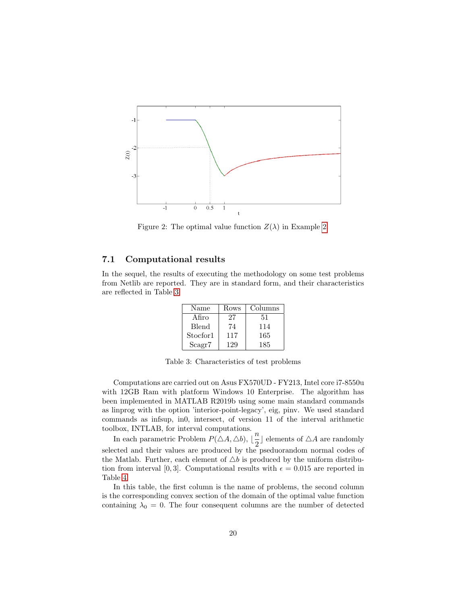<span id="page-19-0"></span>

Figure 2: The optimal value function  $Z(\lambda)$  in Example [2.](#page-17-1)

#### 7.1 Computational results

<span id="page-19-1"></span>In the sequel, the results of executing the methodology on some test problems from Netlib are reported. They are in standard form, and their characteristics are reflected in Table [3.](#page-19-1)

| Name     | Rows | Columns |
|----------|------|---------|
| Afiro    | 27   | 51      |
| Blend    | 74   | 114     |
| Stocfor1 | 117  | 165     |
| Scagr7   | 129  | 185     |

Table 3: Characteristics of test problems

Computations are carried out on Asus FX570UD - FY213, Intel core i7-8550u with 12GB Ram with platform Windows 10 Enterprise. The algorithm has been implemented in MATLAB R2019b using some main standard commands as linprog with the option 'interior-point-legacy', eig, pinv. We used standard commands as infsup, in0, intersect, of version 11 of the interval arithmetic toolbox, INTLAB, for interval computations.

In each parametric Problem  $P(\triangle A, \triangle b)$ ,  $\frac{n}{2}$  $\frac{n}{2}$  elements of  $\triangle A$  are randomly selected and their values are produced by the pseduorandom normal codes of the Matlab. Further, each element of  $\triangle b$  is produced by the uniform distribution from interval [0,3]. Computational results with  $\epsilon = 0.015$  are reported in Table [4.](#page-23-0)

In this table, the first column is the name of problems, the second column is the corresponding convex section of the domain of the optimal value function containing  $\lambda_0 = 0$ . The four consequent columns are the number of detected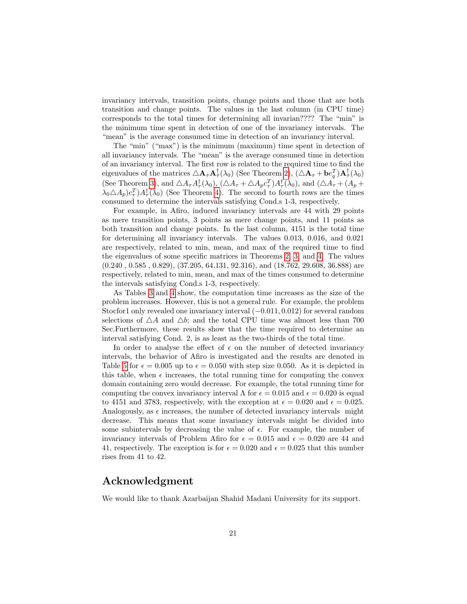invariancy intervals, transition points, change points and those that are both transition and change points. The values in the last column (in CPU time) corresponds to the total times for determining all invarian???? The "min" is the minimum time spent in detection of one of the invariancy intervals. The "mean" is the average consumed time in detection of an invariancy interval.

The "min" ("max") is the minimum (maximum) time spent in detection of all invariancy intervals. The "mean" is the average consumed time in detection of an invariancy interval. The first row is related to the required time to find the eigenvalues of the matrices  $\triangle \mathbf{A}_{\bar{\tau}} \mathbf{A}_{\bar{\tau}}^{\dagger}(\lambda_0)$  (See Theorem [2\)](#page-11-4),  $(\triangle \mathbf{A}_{\bar{\tau}} + \mathbf{b}e_q^T)\mathbf{A}_{\bar{\tau}}^{\dagger}(\lambda_0)$ (See Theorem [3\)](#page-12-3), and  $\triangle A_{\tau}A_{\tau}^{\dagger}(\lambda_0)$ ,  $(\triangle A_{\tau} + \triangle A_{p}c_{\tau}^{T})A_{\tau}^{\dagger}(\lambda_0)$ , and  $(\triangle A_{\tau} + (A_{p} +$  $\lambda_0 \Delta A_p c_\tau^T A_\tau^{\dagger}(\lambda_0)$  (See Theorem [4\)](#page-13-2). The second to fourth rows are the times consumed to determine the intervals satisfying Cond.s 1-3, respectively.

For example, in Afiro, induced invariancy intervals are 44 with 29 points as mere transition points, 3 points as mere change points, and 11 points as both transition and change points. In the last column, 4151 is the total time for determining all invariancy intervals. The values 0.013, 0.016, and 0.021 are respectively, related to min, mean, and max of the required time to find the eigenvalues of some specific matrices in Theorems [2,](#page-11-4) [3,](#page-12-3) and [4.](#page-13-2) The values (0.240 , 0.585 , 0.829), (37.205, 64.131, 92.316), and (18.762, 29.608, 36.888) are respectively, related to min, mean, and max of the times consumed to determine the intervals satisfying Cond.s 1-3, respectively.

As Tables [3](#page-19-1) and [4](#page-23-0) show, the computation time increases as the size of the problem increases. However, this is not a general rule. For example, the problem Stocfor1 only revealed one invariancy interval (−0.011, 0.012) for several random selections of  $\Delta A$  and  $\Delta b$ ; and the total CPU time was almost less than 700 Sec.Furthermore, these results show that the time required to determine an interval satisfying Cond. 2, is as least as the two-thirds of the total time.

In order to analyse the effect of  $\epsilon$  on the number of detected invariancy intervals, the behavior of Afiro is investigated and the results are denoted in Table [5](#page-24-0) for  $\epsilon = 0.005$  up to  $\epsilon = 0.050$  with step size 0.050. As it is depicted in this table, when  $\epsilon$  increases, the total running time for computing the convex domain containing zero would decrease. For example, the total running time for computing the convex invariancy interval  $\Lambda$  for  $\epsilon = 0.015$  and  $\epsilon = 0.020$  is equal to 4151 and 3783, respectively, with the exception at  $\epsilon = 0.020$  and  $\epsilon = 0.025$ . Analogously, as  $\epsilon$  increases, the number of detected invariancy intervals might decrease. This means that some invariancy intervals might be divided into some subintervals by decreasing the value of  $\epsilon$ . For example, the number of invariancy intervals of Problem Afiro for  $\epsilon = 0.015$  and  $\epsilon = 0.020$  are 44 and 41, respectively. The exception is for  $\epsilon = 0.020$  and  $\epsilon = 0.025$  that this number rises from 41 to 42.

### Acknowledgment

We would like to thank Azarbaijan Shahid Madani University for its support.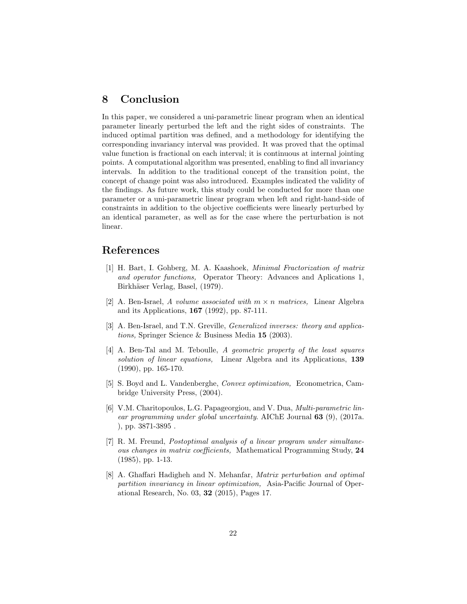# 8 Conclusion

In this paper, we considered a uni-parametric linear program when an identical parameter linearly perturbed the left and the right sides of constraints. The induced optimal partition was defined, and a methodology for identifying the corresponding invariancy interval was provided. It was proved that the optimal value function is fractional on each interval; it is continuous at internal jointing points. A computational algorithm was presented, enabling to find all invariancy intervals. In addition to the traditional concept of the transition point, the concept of change point was also introduced. Examples indicated the validity of the findings. As future work, this study could be conducted for more than one parameter or a uni-parametric linear program when left and right-hand-side of constraints in addition to the objective coefficients were linearly perturbed by an identical parameter, as well as for the case where the perturbation is not linear.

# References

- <span id="page-21-6"></span>[1] H. Bart, I. Gohberg, M. A. Kaashoek, Minimal Fractorization of matrix and operator functions, Operator Theory: Advances and Aplications 1, Birkhäser Verlag, Basel, (1979).
- <span id="page-21-4"></span>[2] A. Ben-Israel, A volume associated with  $m \times n$  matrices, Linear Algebra and its Applications, 167 (1992), pp. 87-111.
- <span id="page-21-3"></span>[3] A. Ben-Israel, and T.N. Greville, Generalized inverses: theory and applications, Springer Science & Business Media 15 (2003).
- <span id="page-21-5"></span>[4] A. Ben-Tal and M. Teboulle, A geometric property of the least squares solution of linear equations, Linear Algebra and its Applications, 139 (1990), pp. 165-170.
- <span id="page-21-7"></span>[5] S. Boyd and L. Vandenberghe, Convex optimization, Econometrica, Cambridge University Press, (2004).
- <span id="page-21-1"></span>[6] V.M. Charitopoulos, L.G. Papageorgiou, and V. Dua, Multi-parametric linear programming under global uncertainty. AIChE Journal  $63$  (9), (2017a. ), pp. 3871-3895 .
- <span id="page-21-0"></span>[7] R. M. Freund, Postoptimal analysis of a linear program under simultaneous changes in matrix coefficients, Mathematical Programming Study, 24 (1985), pp. 1-13.
- <span id="page-21-2"></span>[8] A. Ghaffari Hadigheh and N. Mehanfar, Matrix perturbation and optimal partition invariancy in linear optimization, Asia-Pacific Journal of Operational Research, No. 03, 32 (2015), Pages 17.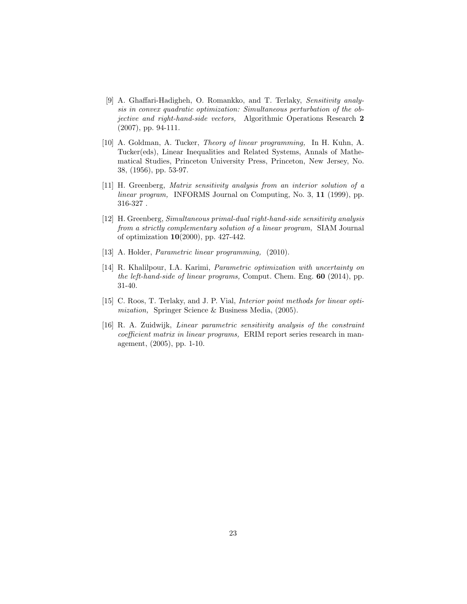- <span id="page-22-5"></span>[9] A. Ghaffari-Hadigheh, O. Romankko, and T. Terlaky, Sensitivity analysis in convex quadratic optimization: Simultaneous perturbation of the objective and right-hand-side vectors, Algorithmic Operations Research 2 (2007), pp. 94-111.
- <span id="page-22-0"></span>[10] A. Goldman, A. Tucker, Theory of linear programming, In H. Kuhn, A. Tucker(eds), Linear Inequalities and Related Systems, Annals of Mathematical Studies, Princeton University Press, Princeton, New Jersey, No. 38, (1956), pp. 53-97.
- <span id="page-22-4"></span>[11] H. Greenberg, Matrix sensitivity analysis from an interior solution of a linear program, INFORMS Journal on Computing, No. 3, 11 (1999), pp. 316-327 .
- [12] H. Greenberg, Simultaneous primal-dual right-hand-side sensitivity analysis from a strictly complementary solution of a linear program, SIAM Journal of optimization 10(2000), pp. 427-442.
- <span id="page-22-6"></span>[13] A. Holder, *Parametric linear programming*, (2010).
- <span id="page-22-3"></span>[14] R. Khalilpour, I.A. Karimi, Parametric optimization with uncertainty on the left-hand-side of linear programs, Comput. Chem. Eng. 60 (2014), pp. 31-40.
- <span id="page-22-1"></span>[15] C. Roos, T. Terlaky, and J. P. Vial, *Interior point methods for linear opti*mization, Springer Science & Business Media, (2005).
- <span id="page-22-2"></span>[16] R. A. Zuidwijk, Linear parametric sensitivity analysis of the constraint coefficient matrix in linear programs, ERIM report series research in management, (2005), pp. 1-10.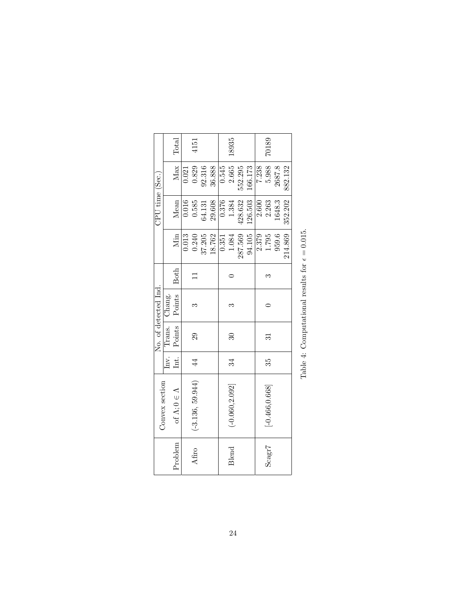<span id="page-23-0"></span>

|                            |                                             | Total                    |       | 4151               |        |        |       | 18935                    |         |         |       | 70189             |        |         |  |
|----------------------------|---------------------------------------------|--------------------------|-------|--------------------|--------|--------|-------|--------------------------|---------|---------|-------|-------------------|--------|---------|--|
| $\mathrm{CPU~time~(Sec.)}$ |                                             | Max                      | 0.021 | 0.829              | 92.316 | 36.888 | 0.545 | 2.665                    | 552.295 | 166.173 | 7.238 | 5.988             | 2687.8 | 882.132 |  |
|                            |                                             | Mean                     | 0.016 | 0.585              | 64.131 | 29.608 | 0.376 | 1.384                    | 428.632 | 126.503 | 2.600 | 2.263             | 1648.3 | 352.202 |  |
|                            |                                             | Min                      | 0.013 | 0.240              | 37.205 | 18.762 | 0.351 | 1.084                    | 287.569 | 94.105  | 2.379 | 1.795             | 959.6  | 214.869 |  |
|                            |                                             | <b>Both</b>              |       |                    |        |        |       |                          |         |         |       |                   |        |         |  |
| No. of detected Ind.       |                                             | Points                   |       | ಌ                  |        |        |       | Z                        |         |         |       |                   |        |         |  |
|                            | $\lceil n v. \rceil$ Trans. $\lceil$ Chang. | Points                   |       | 29                 |        |        |       | $\overline{\mathrm{30}}$ |         |         |       | ವ                 |        |         |  |
|                            |                                             | Int.                     |       | 4                  |        |        |       | 34                       |         |         |       | 35                |        |         |  |
| Convex section             |                                             | of $\Lambda;0\in\Lambda$ |       | $(-3.136, 59.944)$ |        |        |       | $(-0.060, 2.092]$        |         |         |       | $[-0.466, 0.668]$ |        |         |  |
|                            |                                             | Problem                  |       | Afiro              |        |        |       | Blend                    |         |         |       | Scagr7            |        |         |  |

Table 4: Computational results for  $\epsilon=0.015.$ Table 4: Computational results for  $\epsilon = 0.015$ .